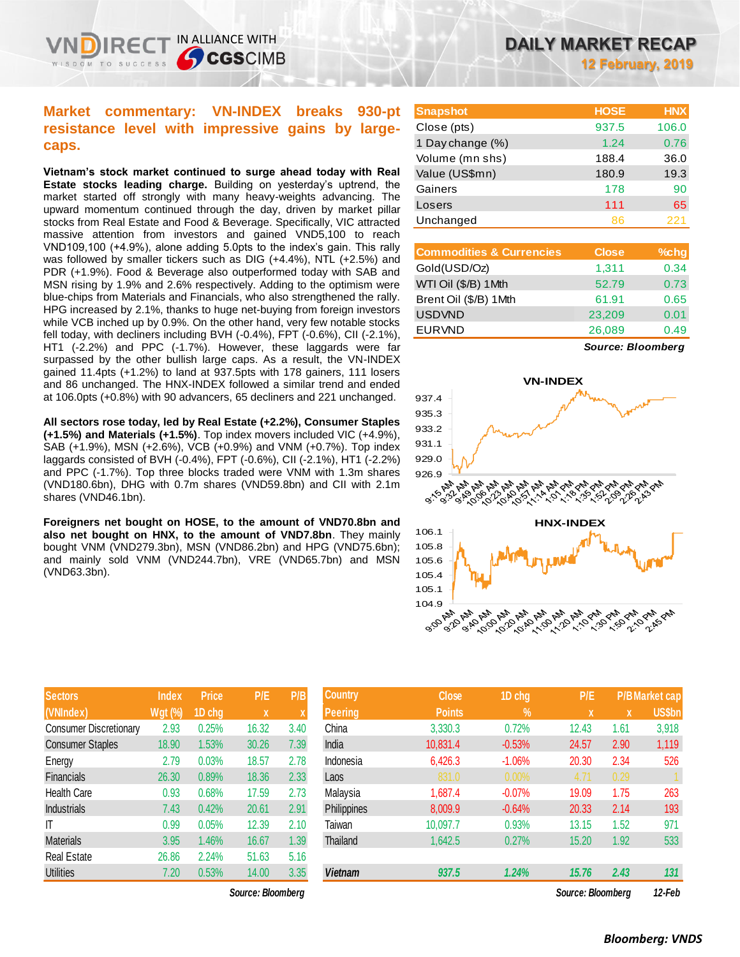### **Market commentary: VN-INDEX breaks 930-pt resistance level with impressive gains by largecaps.**

IN ALLIANCE WITH

**CGSCIMB** 

**Vietnam's stock market continued to surge ahead today with Real Estate stocks leading charge.** Building on yesterday's uptrend, the market started off strongly with many heavy-weights advancing. The upward momentum continued through the day, driven by market pillar stocks from Real Estate and Food & Beverage. Specifically, VIC attracted massive attention from investors and gained VND5,100 to reach VND109,100 (+4.9%), alone adding 5.0pts to the index's gain. This rally was followed by smaller tickers such as DIG (+4.4%), NTL (+2.5%) and PDR (+1.9%). Food & Beverage also outperformed today with SAB and MSN rising by 1.9% and 2.6% respectively. Adding to the optimism were blue-chips from Materials and Financials, who also strengthened the rally. HPG increased by 2.1%, thanks to huge net-buying from foreign investors while VCB inched up by 0.9%. On the other hand, very few notable stocks fell today, with decliners including BVH (-0.4%), FPT (-0.6%), CII (-2.1%), HT1 (-2.2%) and PPC (-1.7%). However, these laggards were far surpassed by the other bullish large caps. As a result, the VN-INDEX gained 11.4pts (+1.2%) to land at 937.5pts with 178 gainers, 111 losers and 86 unchanged. The HNX-INDEX followed a similar trend and ended at 106.0pts (+0.8%) with 90 advancers, 65 decliners and 221 unchanged.

**All sectors rose today, led by Real Estate (+2.2%), Consumer Staples (+1.5%) and Materials (+1.5%)**. Top index movers included VIC (+4.9%), SAB (+1.9%), MSN (+2.6%), VCB (+0.9%) and VNM (+0.7%). Top index laggards consisted of BVH (-0.4%), FPT (-0.6%), CII (-2.1%), HT1 (-2.2%) and PPC (-1.7%). Top three blocks traded were VNM with 1.3m shares (VND180.6bn), DHG with 0.7m shares (VND59.8bn) and CII with 2.1m shares (VND46.1bn).

**Foreigners net bought on HOSE, to the amount of VND70.8bn and also net bought on HNX, to the amount of VND7.8bn**. They mainly bought VNM (VND279.3bn), MSN (VND86.2bn) and HPG (VND75.6bn); and mainly sold VNM (VND244.7bn), VRE (VND65.7bn) and MSN (VND63.3bn).

| DAILY MARKET RECAP |  |                          |  |  |
|--------------------|--|--------------------------|--|--|
|                    |  | <b>12 February, 2019</b> |  |  |

| <b>Snapshot</b>  | <b>HOSE</b> | <b>HNX</b> |
|------------------|-------------|------------|
| Close (pts)      | 937.5       | 106.0      |
| 1 Day change (%) | 1.24        | 0.76       |
| Volume (mn shs)  | 188.4       | 36.0       |
| Value (US\$mn)   | 180.9       | 19.3       |
| Gainers          | 178         | 90         |
| Losers           | 111         | 65         |
| Unchanged        | 86          | 221        |

| <b>Commodities &amp; Currencies</b> | <b>Close</b> | $%$ chg |
|-------------------------------------|--------------|---------|
| Gold(USD/Oz)                        | 1,311        | 0.34    |
| WTI Oil (\$/B) 1Mth                 | 52.79        | 0.73    |
| Brent Oil (\$/B) 1Mth               | 61.91        | 0.65    |
| <b>USDVND</b>                       | 23,209       | 0.01    |
| <b>EURVND</b>                       | 26,089       | 0.49    |
|                                     |              |         |

*Source: Bloomberg*



| <b>Sectors</b>                | <b>Index</b> | <b>Price</b> | P/E   | P/B  |
|-------------------------------|--------------|--------------|-------|------|
| (VNIndex)                     | Wgt (%)      | 1D chg       | X     | X    |
| <b>Consumer Discretionary</b> | 2.93         | 0.25%        | 16.32 | 3.40 |
| <b>Consumer Staples</b>       | 18.90        | 1.53%        | 30.26 | 7.39 |
| Energy                        | 2.79         | 0.03%        | 18.57 | 2.78 |
| <b>Financials</b>             | 26.30        | 0.89%        | 18.36 | 2.33 |
| <b>Health Care</b>            | 0.93         | 0.68%        | 17.59 | 2.73 |
| <b>Industrials</b>            | 7.43         | 0.42%        | 20.61 | 2.91 |
| IT                            | 0.99         | 0.05%        | 12.39 | 2.10 |
| <b>Materials</b>              | 3.95         | 1.46%        | 16.67 | 1.39 |
| <b>Real Estate</b>            | 26.86        | 2.24%        | 51.63 | 5.16 |
| <b>Utilities</b>              | 7.20         | 0.53%        | 14.00 | 3.35 |

| <b>Sectors</b>                | <b>Index</b> | <b>Price</b> | P/E               | P/B  | <b>Country</b> | <b>Close</b>  | 1D chg        | P/E               |      | <b>P/B Market cap</b> |
|-------------------------------|--------------|--------------|-------------------|------|----------------|---------------|---------------|-------------------|------|-----------------------|
| (VNIndex)                     | $Wgt($ %)    | 1D chg       | $\mathbf x$       | ⋏    | Peering        | <b>Points</b> | $\frac{9}{6}$ | $\mathbf{x}$      | X    | US\$bn                |
| <b>Consumer Discretionary</b> | 2.93         | 0.25%        | 16.32             | 3.40 | China          | 3,330.3       | 0.72%         | 12.43             | 1.61 | 3,918                 |
| <b>Consumer Staples</b>       | 18.90        | 1.53%        | 30.26             | 7.39 | India          | 10,831.4      | $-0.53%$      | 24.57             | 2.90 | 1,119                 |
| Energy                        | 2.79         | 0.03%        | 18.57             | 2.78 | Indonesia      | 6,426.3       | $-1.06%$      | 20.30             | 2.34 | 526                   |
| Financials                    | 26.30        | 0.89%        | 18.36             | 2.33 | Laos           | 831.0         | $0.00\%$      | 4.71              | 0.29 |                       |
| Health Care                   | 0.93         | 0.68%        | 17.59             | 2.73 | Malaysia       | 1,687.4       | $-0.07%$      | 19.09             | 1.75 | 263                   |
| <b>Industrials</b>            | 7.43         | 0.42%        | 20.61             | 2.91 | Philippines    | 8,009.9       | $-0.64%$      | 20.33             | 2.14 | 193                   |
| ΙT                            | 0.99         | 0.05%        | 12.39             | 2.10 | Taiwan         | 10,097.7      | 0.93%         | 13.15             | 1.52 | 971                   |
| <b>Materials</b>              | 3.95         | 1.46%        | 16.67             | 1.39 | Thailand       | 1,642.5       | 0.27%         | 15.20             | 1.92 | 533                   |
| Real Estate                   | 26.86        | 2.24%        | 51.63             | 5.16 |                |               |               |                   |      |                       |
| Utilities                     | 7.20         | 0.53%        | 14.00             | 3.35 | <b>Vietnam</b> | 937.5         | 1.24%         | 15.76             | 2.43 | 131                   |
|                               |              |              | Source: Bloomberg |      |                |               |               | Source: Bloombera |      | 12-Feb                |

### *Bloomberg: VNDS*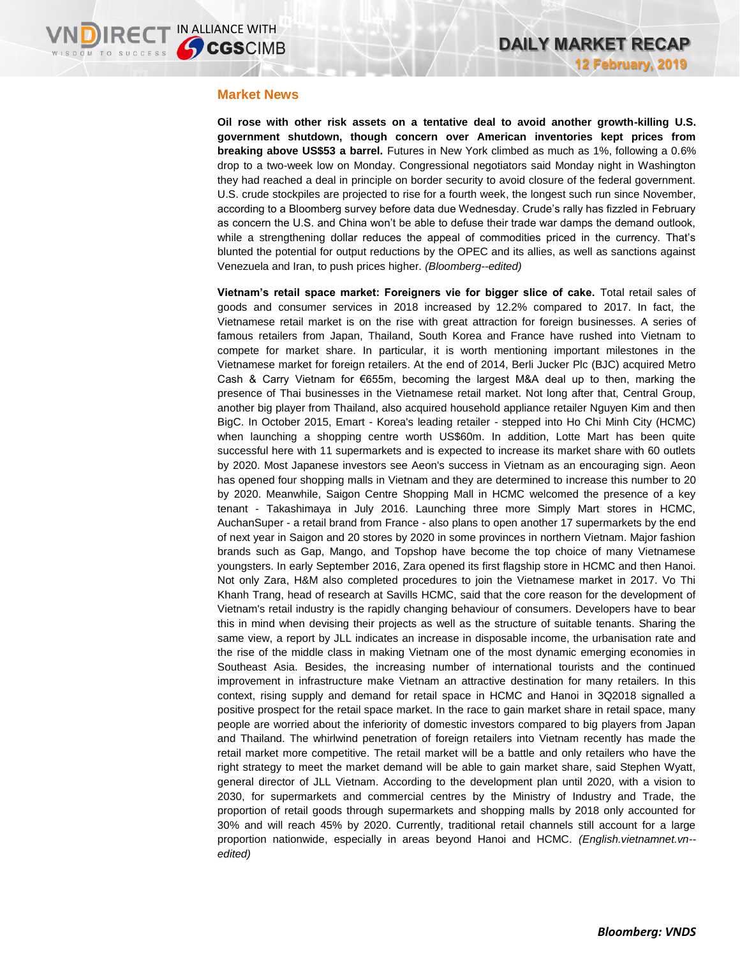### **Market News**

**Oil rose with other risk assets on a tentative deal to avoid another growth-killing U.S. government shutdown, though concern over American inventories kept prices from breaking above US\$53 a barrel.** Futures in New York climbed as much as 1%, following a 0.6% drop to a two-week low on Monday. Congressional negotiators said Monday night in Washington they had reached a deal in principle on border security to avoid closure of the federal government. U.S. crude stockpiles are projected to rise for a fourth week, the longest such run since November, according to a Bloomberg survey before data due Wednesday. Crude's rally has fizzled in February as concern the U.S. and China won't be able to defuse their trade war damps the demand outlook, while a strengthening dollar reduces the appeal of commodities priced in the currency. That's blunted the potential for output reductions by the OPEC and its allies, as well as sanctions against Venezuela and Iran, to push prices higher. *(Bloomberg--edited)*

**Vietnam's retail space market: Foreigners vie for bigger slice of cake.** Total retail sales of goods and consumer services in 2018 increased by 12.2% compared to 2017. In fact, the Vietnamese retail market is on the rise with great attraction for foreign businesses. A series of famous retailers from Japan, Thailand, South Korea and France have rushed into Vietnam to compete for market share. In particular, it is worth mentioning important milestones in the Vietnamese market for foreign retailers. At the end of 2014, Berli Jucker Plc (BJC) acquired Metro Cash & Carry Vietnam for €655m, becoming the largest M&A deal up to then, marking the presence of Thai businesses in the Vietnamese retail market. Not long after that, Central Group, another big player from Thailand, also acquired household appliance retailer Nguyen Kim and then BigC. In October 2015, Emart - Korea's leading retailer - stepped into Ho Chi Minh City (HCMC) when launching a shopping centre worth US\$60m. In addition, Lotte Mart has been quite successful here with 11 supermarkets and is expected to increase its market share with 60 outlets by 2020. Most Japanese investors see Aeon's success in Vietnam as an encouraging sign. Aeon has opened four shopping malls in Vietnam and they are determined to increase this number to 20 by 2020. Meanwhile, Saigon Centre Shopping Mall in HCMC welcomed the presence of a key tenant - Takashimaya in July 2016. Launching three more Simply Mart stores in HCMC, AuchanSuper - a retail brand from France - also plans to open another 17 supermarkets by the end of next year in Saigon and 20 stores by 2020 in some provinces in northern Vietnam. Major fashion brands such as Gap, Mango, and Topshop have become the top choice of many Vietnamese youngsters. In early September 2016, Zara opened its first flagship store in HCMC and then Hanoi. Not only Zara, H&M also completed procedures to join the Vietnamese market in 2017. Vo Thi Khanh Trang, head of research at Savills HCMC, said that the core reason for the development of Vietnam's retail industry is the rapidly changing behaviour of consumers. Developers have to bear this in mind when devising their projects as well as the structure of suitable tenants. Sharing the same view, a report by JLL indicates an increase in disposable income, the urbanisation rate and the rise of the middle class in making Vietnam one of the most dynamic emerging economies in Southeast Asia. Besides, the increasing number of international tourists and the continued improvement in infrastructure make Vietnam an attractive destination for many retailers. In this context, rising supply and demand for retail space in HCMC and Hanoi in 3Q2018 signalled a positive prospect for the retail space market. In the race to gain market share in retail space, many people are worried about the inferiority of domestic investors compared to big players from Japan and Thailand. The whirlwind penetration of foreign retailers into Vietnam recently has made the retail market more competitive. The retail market will be a battle and only retailers who have the right strategy to meet the market demand will be able to gain market share, said Stephen Wyatt, general director of JLL Vietnam. According to the development plan until 2020, with a vision to 2030, for supermarkets and commercial centres by the Ministry of Industry and Trade, the proportion of retail goods through supermarkets and shopping malls by 2018 only accounted for 30% and will reach 45% by 2020. Currently, traditional retail channels still account for a large proportion nationwide, especially in areas beyond Hanoi and HCMC. *(English.vietnamnet.vn- edited)*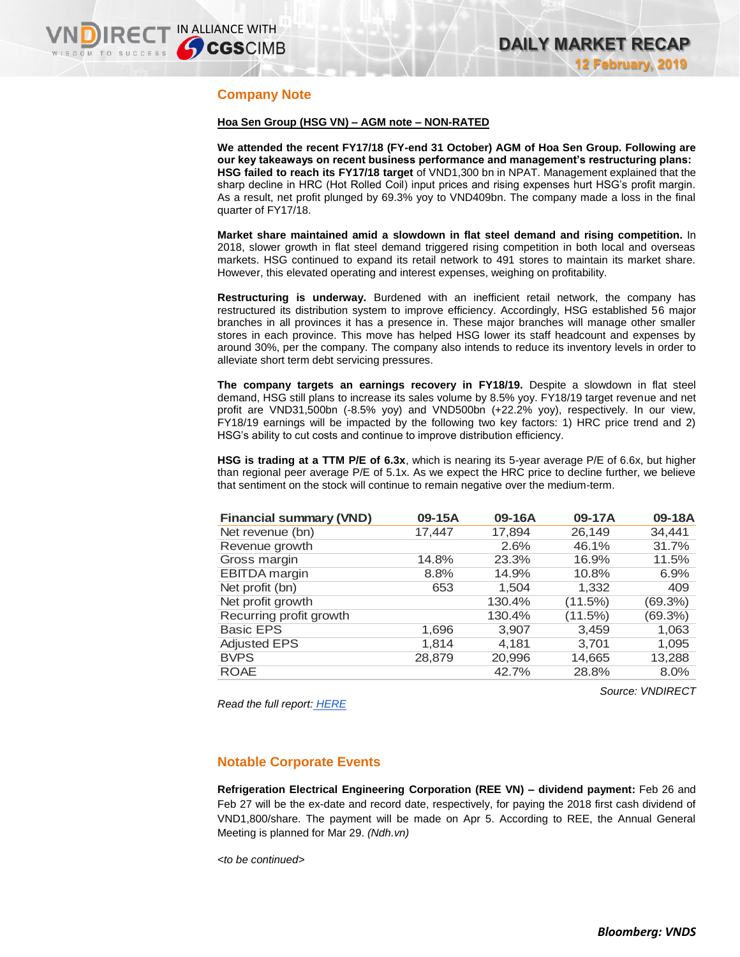### **Company Note**

#### **Hoa Sen Group (HSG VN) – AGM note – NON-RATED**

**We attended the recent FY17/18 (FY-end 31 October) AGM of Hoa Sen Group. Following are our key takeaways on recent business performance and management's restructuring plans: HSG failed to reach its FY17/18 target** of VND1,300 bn in NPAT. Management explained that the sharp decline in HRC (Hot Rolled Coil) input prices and rising expenses hurt HSG's profit margin. As a result, net profit plunged by 69.3% yoy to VND409bn. The company made a loss in the final quarter of FY17/18.

**Market share maintained amid a slowdown in flat steel demand and rising competition.** In 2018, slower growth in flat steel demand triggered rising competition in both local and overseas markets. HSG continued to expand its retail network to 491 stores to maintain its market share. However, this elevated operating and interest expenses, weighing on profitability.

**Restructuring is underway.** Burdened with an inefficient retail network, the company has restructured its distribution system to improve efficiency. Accordingly, HSG established 56 major branches in all provinces it has a presence in. These major branches will manage other smaller stores in each province. This move has helped HSG lower its staff headcount and expenses by around 30%, per the company. The company also intends to reduce its inventory levels in order to alleviate short term debt servicing pressures.

**The company targets an earnings recovery in FY18/19.** Despite a slowdown in flat steel demand, HSG still plans to increase its sales volume by 8.5% yoy. FY18/19 target revenue and net profit are VND31,500bn (-8.5% yoy) and VND500bn (+22.2% yoy), respectively. In our view, FY18/19 earnings will be impacted by the following two key factors: 1) HRC price trend and 2) HSG's ability to cut costs and continue to improve distribution efficiency.

**HSG is trading at a TTM P/E of 6.3x**, which is nearing its 5-year average P/E of 6.6x, but higher than regional peer average P/E of 5.1x. As we expect the HRC price to decline further, we believe that sentiment on the stock will continue to remain negative over the medium-term.

| <b>Financial summary (VND)</b> | 09-15A | 09-16A | 09-17A  | 09-18A  |
|--------------------------------|--------|--------|---------|---------|
| Net revenue (bn)               | 17,447 | 17,894 | 26,149  | 34,441  |
| Revenue growth                 |        | 2.6%   | 46.1%   | 31.7%   |
| Gross margin                   | 14.8%  | 23.3%  | 16.9%   | 11.5%   |
| <b>EBITDA</b> margin           | 8.8%   | 14.9%  | 10.8%   | 6.9%    |
| Net profit (bn)                | 653    | 1,504  | 1,332   | 409     |
| Net profit growth              |        | 130.4% | (11.5%) | (69.3%) |
| Recurring profit growth        |        | 130.4% | (11.5%) | (69.3%) |
| <b>Basic EPS</b>               | 1,696  | 3,907  | 3,459   | 1,063   |
| <b>Adjusted EPS</b>            | 1,814  | 4,181  | 3,701   | 1,095   |
| <b>BVPS</b>                    | 28,879 | 20,996 | 14,665  | 13,288  |
| <b>ROAE</b>                    |        | 42.7%  | 28.8%   | 8.0%    |

*Source: VNDIRECT*

*Read the full report: [HERE](https://static-02.vndirect.com.vn/uploads/prod/HSG_AGM-Note_17012019.pdf)*

### **Notable Corporate Events**

**Refrigeration Electrical Engineering Corporation (REE VN) – dividend payment:** Feb 26 and Feb 27 will be the ex-date and record date, respectively, for paying the 2018 first cash dividend of VND1,800/share. The payment will be made on Apr 5. According to REE, the Annual General Meeting is planned for Mar 29. *(Ndh.vn)*

*<to be continued>*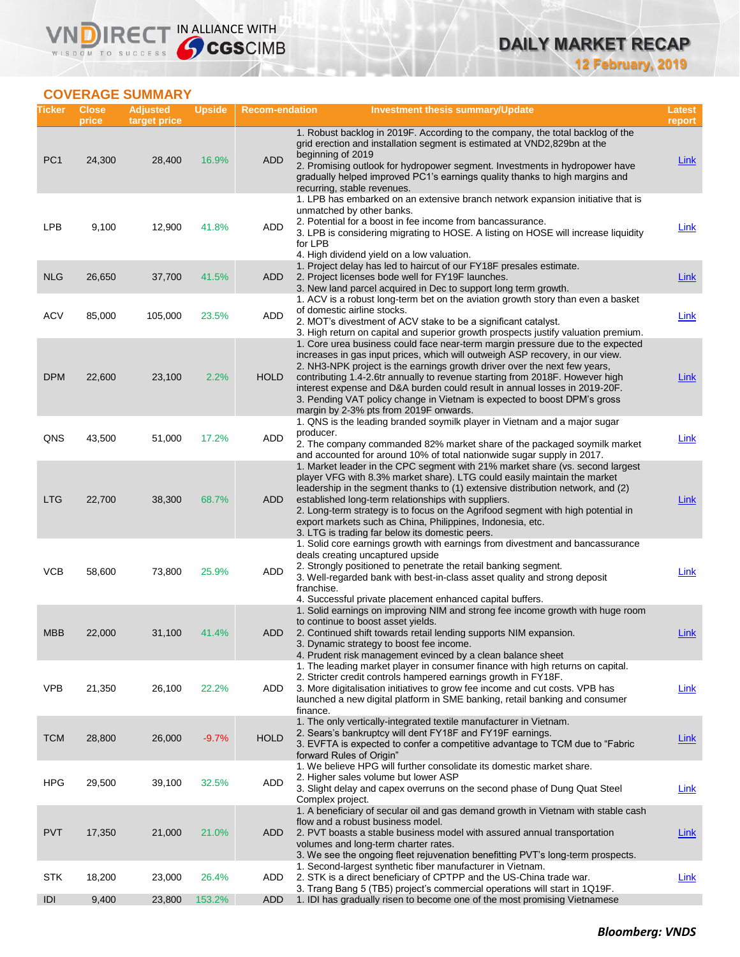### **COVERAGE SUMMARY**

WISDOM TO SUCCESS

VND

IRECT IN ALLIANCE WITH

| Ticker          | <b>Close</b><br>price | <b>Adjusted</b><br>target price | <b>Upside</b> | <b>Recom-endation</b> | <b>Investment thesis summary/Update</b>                                                                                                                                                                                                                                                                                                                                                                                                                                                                                          | Latest<br>report |
|-----------------|-----------------------|---------------------------------|---------------|-----------------------|----------------------------------------------------------------------------------------------------------------------------------------------------------------------------------------------------------------------------------------------------------------------------------------------------------------------------------------------------------------------------------------------------------------------------------------------------------------------------------------------------------------------------------|------------------|
| PC <sub>1</sub> | 24,300                | 28,400                          | 16.9%         | <b>ADD</b>            | 1. Robust backlog in 2019F. According to the company, the total backlog of the<br>grid erection and installation segment is estimated at VND2,829bn at the<br>beginning of 2019<br>2. Promising outlook for hydropower segment. Investments in hydropower have<br>gradually helped improved PC1's earnings quality thanks to high margins and<br>recurring, stable revenues.                                                                                                                                                     | Link             |
| <b>LPB</b>      | 9,100                 | 12,900                          | 41.8%         | ADD                   | 1. LPB has embarked on an extensive branch network expansion initiative that is<br>unmatched by other banks.<br>2. Potential for a boost in fee income from bancassurance.<br>3. LPB is considering migrating to HOSE. A listing on HOSE will increase liquidity<br>for LPB<br>4. High dividend yield on a low valuation.                                                                                                                                                                                                        | <b>Link</b>      |
| <b>NLG</b>      | 26,650                | 37,700                          | 41.5%         | <b>ADD</b>            | 1. Project delay has led to haircut of our FY18F presales estimate.<br>2. Project licenses bode well for FY19F launches.<br>3. New land parcel acquired in Dec to support long term growth.                                                                                                                                                                                                                                                                                                                                      | <b>Link</b>      |
| <b>ACV</b>      | 85,000                | 105,000                         | 23.5%         | <b>ADD</b>            | 1. ACV is a robust long-term bet on the aviation growth story than even a basket<br>of domestic airline stocks.<br>2. MOT's divestment of ACV stake to be a significant catalyst.<br>3. High return on capital and superior growth prospects justify valuation premium.                                                                                                                                                                                                                                                          | Link             |
| <b>DPM</b>      | 22,600                | 23,100                          | 2.2%          | <b>HOLD</b>           | 1. Core urea business could face near-term margin pressure due to the expected<br>increases in gas input prices, which will outweigh ASP recovery, in our view.<br>2. NH3-NPK project is the earnings growth driver over the next few years,<br>contributing 1.4-2.6tr annually to revenue starting from 2018F. However high<br>interest expense and D&A burden could result in annual losses in 2019-20F.<br>3. Pending VAT policy change in Vietnam is expected to boost DPM's gross<br>margin by 2-3% pts from 2019F onwards. | <b>Link</b>      |
| QNS             | 43,500                | 51,000                          | 17.2%         | <b>ADD</b>            | 1. QNS is the leading branded soymilk player in Vietnam and a major sugar<br>producer.<br>2. The company commanded 82% market share of the packaged soymilk market<br>and accounted for around 10% of total nationwide sugar supply in 2017.                                                                                                                                                                                                                                                                                     | Link             |
| <b>LTG</b>      | 22,700                | 38,300                          | 68.7%         | <b>ADD</b>            | 1. Market leader in the CPC segment with 21% market share (vs. second largest<br>player VFG with 8.3% market share). LTG could easily maintain the market<br>leadership in the segment thanks to (1) extensive distribution network, and (2)<br>established long-term relationships with suppliers.<br>2. Long-term strategy is to focus on the Agrifood segment with high potential in<br>export markets such as China, Philippines, Indonesia, etc.<br>3. LTG is trading far below its domestic peers.                         | <b>Link</b>      |
| <b>VCB</b>      | 58,600                | 73,800                          | 25.9%         | ADD                   | 1. Solid core earnings growth with earnings from divestment and bancassurance<br>deals creating uncaptured upside<br>2. Strongly positioned to penetrate the retail banking segment.<br>3. Well-regarded bank with best-in-class asset quality and strong deposit<br>franchise.<br>4. Successful private placement enhanced capital buffers.                                                                                                                                                                                     | Link             |
| <b>MBB</b>      | 22,000                | 31,100                          | 41.4%         | <b>ADD</b>            | 1. Solid earnings on improving NIM and strong fee income growth with huge room<br>to continue to boost asset yields.<br>2. Continued shift towards retail lending supports NIM expansion.<br>3. Dynamic strategy to boost fee income.<br>4. Prudent risk management evinced by a clean balance sheet                                                                                                                                                                                                                             | Link             |
| <b>VPB</b>      | 21,350                | 26,100                          | 22.2%         | ADD                   | 1. The leading market player in consumer finance with high returns on capital.<br>2. Stricter credit controls hampered earnings growth in FY18F.<br>3. More digitalisation initiatives to grow fee income and cut costs. VPB has<br>launched a new digital platform in SME banking, retail banking and consumer<br>finance.                                                                                                                                                                                                      | <b>Link</b>      |
| <b>TCM</b>      | 28,800                | 26,000                          | $-9.7%$       | <b>HOLD</b>           | 1. The only vertically-integrated textile manufacturer in Vietnam.<br>2. Sears's bankruptcy will dent FY18F and FY19F earnings.<br>3. EVFTA is expected to confer a competitive advantage to TCM due to "Fabric"<br>forward Rules of Origin"                                                                                                                                                                                                                                                                                     | <b>Link</b>      |
| <b>HPG</b>      | 29,500                | 39,100                          | 32.5%         | <b>ADD</b>            | 1. We believe HPG will further consolidate its domestic market share.<br>2. Higher sales volume but lower ASP<br>3. Slight delay and capex overruns on the second phase of Dung Quat Steel<br>Complex project.                                                                                                                                                                                                                                                                                                                   | $Link$           |
| <b>PVT</b>      | 17,350                | 21,000                          | 21.0%         | ADD                   | 1. A beneficiary of secular oil and gas demand growth in Vietnam with stable cash<br>flow and a robust business model.<br>2. PVT boasts a stable business model with assured annual transportation<br>volumes and long-term charter rates.<br>3. We see the ongoing fleet rejuvenation benefitting PVT's long-term prospects.                                                                                                                                                                                                    | <b>Link</b>      |
| <b>STK</b>      | 18,200                | 23,000                          | 26.4%         | ADD                   | 1. Second-largest synthetic fiber manufacturer in Vietnam.<br>2. STK is a direct beneficiary of CPTPP and the US-China trade war.<br>3. Trang Bang 5 (TB5) project's commercial operations will start in 1Q19F.                                                                                                                                                                                                                                                                                                                  | <b>Link</b>      |
| IDI             | 9,400                 | 23,800                          | 153.2%        | <b>ADD</b>            | 1. IDI has gradually risen to become one of the most promising Vietnamese                                                                                                                                                                                                                                                                                                                                                                                                                                                        |                  |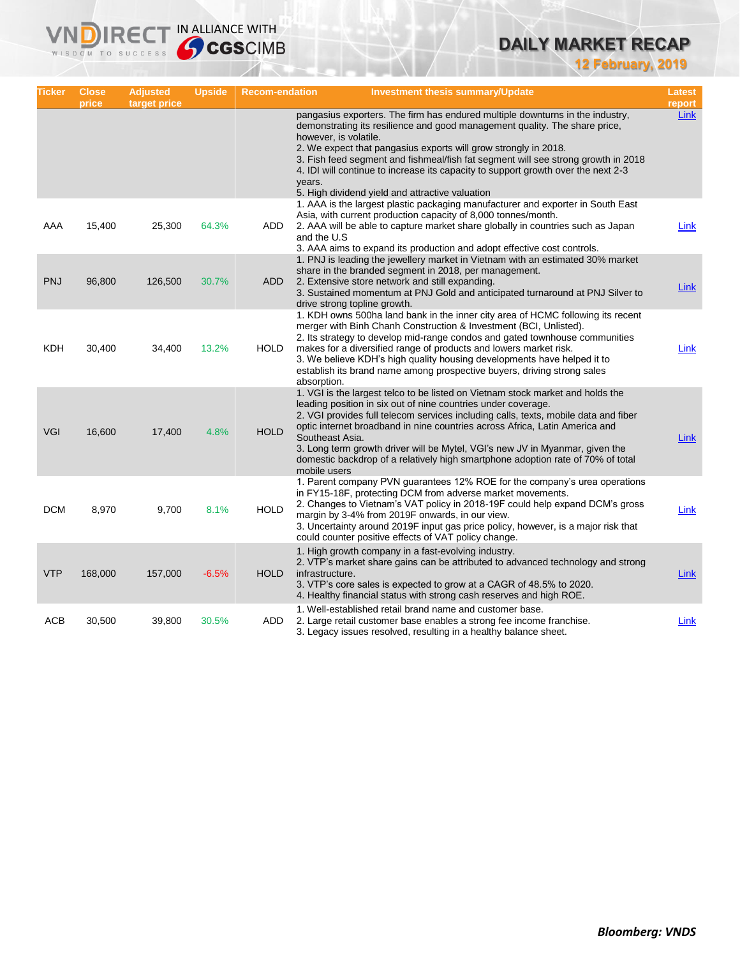## **DAILY MARKET RECAP**

**12 February, 2019**

| Ticker     | <b>Close</b><br>price | <b>Adjusted</b><br>target price | <b>Upside</b> | <b>Recom-endation</b> | <b>Investment thesis summary/Update</b>                                                                                                                                                                                                                                                                                                                                                                                                                                                                                     | Latest<br>report |
|------------|-----------------------|---------------------------------|---------------|-----------------------|-----------------------------------------------------------------------------------------------------------------------------------------------------------------------------------------------------------------------------------------------------------------------------------------------------------------------------------------------------------------------------------------------------------------------------------------------------------------------------------------------------------------------------|------------------|
|            |                       |                                 |               |                       | pangasius exporters. The firm has endured multiple downturns in the industry,<br>demonstrating its resilience and good management quality. The share price,<br>however, is volatile.<br>2. We expect that pangasius exports will grow strongly in 2018.<br>3. Fish feed segment and fishmeal/fish fat segment will see strong growth in 2018<br>4. IDI will continue to increase its capacity to support growth over the next 2-3<br>years.<br>5. High dividend yield and attractive valuation                              | Link             |
| AAA        | 15,400                | 25,300                          | 64.3%         | ADD                   | 1. AAA is the largest plastic packaging manufacturer and exporter in South East<br>Asia, with current production capacity of 8,000 tonnes/month.<br>2. AAA will be able to capture market share globally in countries such as Japan<br>and the U.S.<br>3. AAA aims to expand its production and adopt effective cost controls.                                                                                                                                                                                              | Link             |
| <b>PNJ</b> | 96,800                | 126,500                         | 30.7%         | ADD                   | 1. PNJ is leading the jewellery market in Vietnam with an estimated 30% market<br>share in the branded segment in 2018, per management.<br>2. Extensive store network and still expanding.<br>3. Sustained momentum at PNJ Gold and anticipated turnaround at PNJ Silver to<br>drive strong topline growth.                                                                                                                                                                                                                 | <b>Link</b>      |
| KDH        | 30,400                | 34,400                          | 13.2%         | <b>HOLD</b>           | 1. KDH owns 500ha land bank in the inner city area of HCMC following its recent<br>merger with Binh Chanh Construction & Investment (BCI, Unlisted).<br>2. Its strategy to develop mid-range condos and gated townhouse communities<br>makes for a diversified range of products and lowers market risk.<br>3. We believe KDH's high quality housing developments have helped it to<br>establish its brand name among prospective buyers, driving strong sales<br>absorption.                                               | Link             |
| VGI        | 16,600                | 17,400                          | 4.8%          | <b>HOLD</b>           | 1. VGI is the largest telco to be listed on Vietnam stock market and holds the<br>leading position in six out of nine countries under coverage.<br>2. VGI provides full telecom services including calls, texts, mobile data and fiber<br>optic internet broadband in nine countries across Africa, Latin America and<br>Southeast Asia.<br>3. Long term growth driver will be Mytel, VGI's new JV in Myanmar, given the<br>domestic backdrop of a relatively high smartphone adoption rate of 70% of total<br>mobile users | Link             |
| <b>DCM</b> | 8,970                 | 9,700                           | 8.1%          | <b>HOLD</b>           | 1. Parent company PVN guarantees 12% ROE for the company's urea operations<br>in FY15-18F, protecting DCM from adverse market movements.<br>2. Changes to Vietnam's VAT policy in 2018-19F could help expand DCM's gross<br>margin by 3-4% from 2019F onwards, in our view.<br>3. Uncertainty around 2019F input gas price policy, however, is a major risk that<br>could counter positive effects of VAT policy change.                                                                                                    | Link             |
| <b>VTP</b> | 168,000               | 157,000                         | $-6.5%$       | <b>HOLD</b>           | 1. High growth company in a fast-evolving industry.<br>2. VTP's market share gains can be attributed to advanced technology and strong<br>infrastructure.<br>3. VTP's core sales is expected to grow at a CAGR of 48.5% to 2020.<br>4. Healthy financial status with strong cash reserves and high ROE.                                                                                                                                                                                                                     | Link             |
| ACB        | 30,500                | 39,800                          | 30.5%         | ADD                   | 1. Well-established retail brand name and customer base.<br>2. Large retail customer base enables a strong fee income franchise.<br>3. Legacy issues resolved, resulting in a healthy balance sheet.                                                                                                                                                                                                                                                                                                                        | Link             |

**VNDIRECT IN ALLIANCE WITH**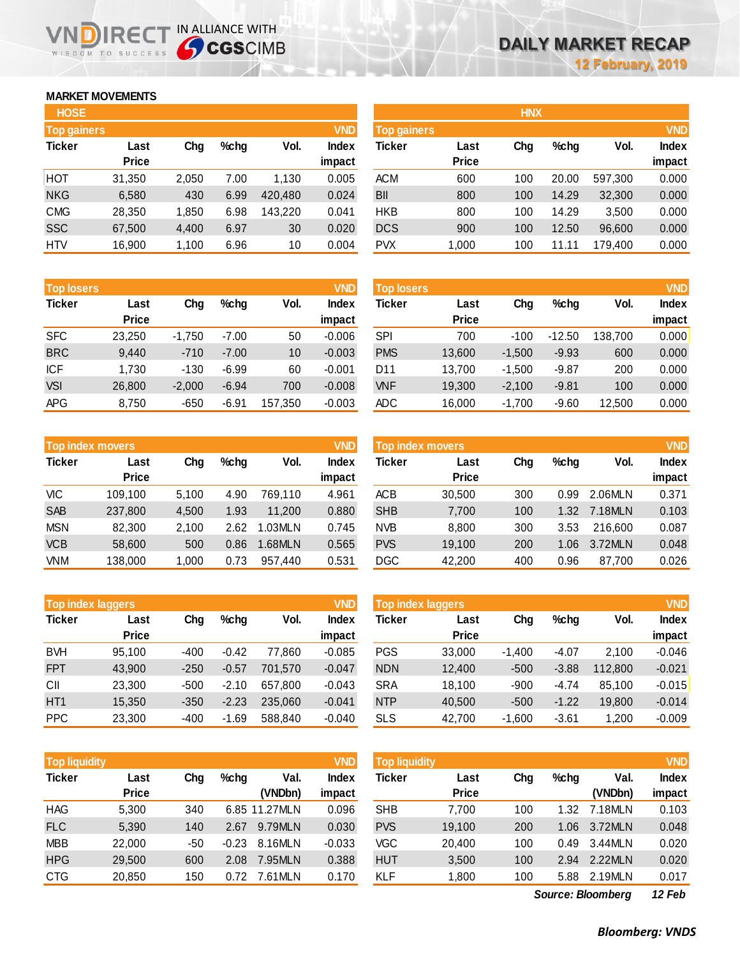### **MARKET MOVEMENTS**

WISDOM TO SUCCESS

| <b>HOSE</b>        |              |       |         |         |              |
|--------------------|--------------|-------|---------|---------|--------------|
| <b>Top gainers</b> |              |       |         |         | <b>VND</b>   |
| <b>Ticker</b>      | Last         | Cha   | $%$ chg | Vol.    | <b>Index</b> |
|                    | <b>Price</b> |       |         |         | impact       |
| HOT                | 31,350       | 2,050 | 7.00    | 1,130   | 0.005        |
| <b>NKG</b>         | 6,580        | 430   | 6.99    | 420,480 | 0.024        |
| <b>CMG</b>         | 28,350       | 1,850 | 6.98    | 143,220 | 0.041        |
| <b>SSC</b>         | 67,500       | 4,400 | 6.97    | 30      | 0.020        |
| HTV                | 16,900       | 1,100 | 6.96    | 10      | 0.004        |

**VNDIRECT IN ALLIANCE WITH** 

| <b>Top losers</b> |              |          |         |         | <b>VND</b>   |
|-------------------|--------------|----------|---------|---------|--------------|
| <b>Ticker</b>     | Last         | Cha      | $%$ chg | Vol.    | <b>Index</b> |
|                   | <b>Price</b> |          |         |         | impact       |
| <b>SFC</b>        | 23,250       | $-1,750$ | $-7.00$ | 50      | $-0.006$     |
| <b>BRC</b>        | 9,440        | $-710$   | $-7.00$ | 10      | $-0.003$     |
| ICF               | 1,730        | $-130$   | $-6.99$ | 60      | $-0.001$     |
| <b>VSI</b>        | 26,800       | $-2,000$ | $-6.94$ | 700     | $-0.008$     |
| <b>APG</b>        | 8,750        | $-650$   | -6.91   | 157,350 | $-0.003$     |

| <b>Top index movers</b> |              |       |         |         |              |  |  |  |
|-------------------------|--------------|-------|---------|---------|--------------|--|--|--|
| <b>Ticker</b>           | Last         | Cha   | $%$ chg | Vol.    | <b>Index</b> |  |  |  |
|                         | <b>Price</b> |       |         |         | impact       |  |  |  |
| VIC                     | 109,100      | 5,100 | 4.90    | 769,110 | 4.961        |  |  |  |
| <b>SAB</b>              | 237,800      | 4,500 | 1.93    | 11,200  | 0.880        |  |  |  |
| <b>MSN</b>              | 82,300       | 2,100 | 2.62    | 1.03MLN | 0.745        |  |  |  |
| <b>VCB</b>              | 58,600       | 500   | 0.86    | 1.68MLN | 0.565        |  |  |  |
| <b>VNM</b>              | 138,000      | 1,000 | 0.73    | 957,440 | 0.531        |  |  |  |

| <b>Top index laggers</b> |              |        |         |         |              |  |  |  |
|--------------------------|--------------|--------|---------|---------|--------------|--|--|--|
| <b>Ticker</b>            | Last         | Cha    | $%$ chg | Vol.    | <b>Index</b> |  |  |  |
|                          | <b>Price</b> |        |         |         | impact       |  |  |  |
| <b>BVH</b>               | 95,100       | -400   | $-0.42$ | 77,860  | $-0.085$     |  |  |  |
| <b>FPT</b>               | 43,900       | $-250$ | $-0.57$ | 701,570 | $-0.047$     |  |  |  |
| СII                      | 23,300       | $-500$ | $-2.10$ | 657,800 | $-0.043$     |  |  |  |
| HT <sub>1</sub>          | 15,350       | $-350$ | $-2.23$ | 235,060 | $-0.041$     |  |  |  |
| <b>PPC</b>               | 23,300       | -400   | $-1.69$ | 588,840 | $-0.040$     |  |  |  |

| <b>Top liquidity</b> |              |     |         |               | <b>VND</b>   |
|----------------------|--------------|-----|---------|---------------|--------------|
| <b>Ticker</b>        | Last         | Cha | $%$ chg | Val.          | <b>Index</b> |
|                      | <b>Price</b> |     |         | (VNDbn)       | impact       |
| <b>HAG</b>           | 5,300        | 340 |         | 6.85 11.27MLN | 0.096        |
| <b>FLC</b>           | 5.390        | 140 | 2.67    | 9.79MLN       | 0.030        |
| <b>MBB</b>           | 22,000       | -50 | $-0.23$ | 8.16MLN       | $-0.033$     |
| <b>HPG</b>           | 29,500       | 600 | 2.08    | 7.95MLN       | 0.388        |
| <b>CTG</b>           | 20,850       | 150 | 0.72    | 7.61MLN       | 0.170        |

| <b>HOSE</b>        |              |       |         |         |              |                    |              | <b>HNX</b> |       |         |              |
|--------------------|--------------|-------|---------|---------|--------------|--------------------|--------------|------------|-------|---------|--------------|
| <b>Top gainers</b> |              |       |         |         | <b>VND</b>   | <b>Top gainers</b> |              |            |       |         | <b>VND</b>   |
| Ticker             | Last         | Chg   | $%$ chg | Vol.    | <b>Index</b> | Ticker             | Last         | Chg        | %chg  | Vol.    | <b>Index</b> |
|                    | <b>Price</b> |       |         |         | impact       |                    | <b>Price</b> |            |       |         | impact       |
| нот                | 31,350       | 2,050 | 7.00    | 1,130   | 0.005        | <b>ACM</b>         | 600          | 100        | 20.00 | 597,300 | 0.000        |
| <b>NKG</b>         | 6,580        | 430   | 6.99    | 420,480 | 0.024        | <b>BII</b>         | 800          | 100        | 14.29 | 32,300  | 0.000        |
| <b>CMG</b>         | 28,350       | 1,850 | 6.98    | 143.220 | 0.041        | <b>HKB</b>         | 800          | 100        | 14.29 | 3,500   | 0.000        |
| SSC                | 67,500       | 4,400 | 6.97    | 30      | 0.020        | <b>DCS</b>         | 900          | 100        | 12.50 | 96,600  | 0.000        |
| <b>HTV</b>         | 16,900       | 1,100 | 6.96    | 10      | 0.004        | <b>PVX</b>         | 1,000        | 100        | 11.11 | 179,400 | 0.000        |
|                    |              |       |         |         |              |                    |              |            |       |         |              |

| <b>Top losers</b> |                      |          |         |         | <b>VND</b>             | <b>Top losers</b> |                      |          |          |         | <b>VND</b>             |
|-------------------|----------------------|----------|---------|---------|------------------------|-------------------|----------------------|----------|----------|---------|------------------------|
| Ticker            | Last<br><b>Price</b> | Chg      | $%$ chg | Vol.    | <b>Index</b><br>impact | Ticker            | Last<br><b>Price</b> | Chg      | %chg     | Vol.    | <b>Index</b><br>impact |
| <b>SFC</b>        | 23,250               | $-1.750$ | $-7.00$ | 50      | $-0.006$               | <b>SPI</b>        | 700                  | $-100$   | $-12.50$ | 138.700 | 0.000                  |
| <b>BRC</b>        | 9,440                | $-710$   | $-7.00$ | 10      | $-0.003$               | <b>PMS</b>        | 13,600               | $-1,500$ | $-9.93$  | 600     | 0.000                  |
| ICF               | 1,730                | $-130$   | $-6.99$ | 60      | $-0.001$               | D11               | 13.700               | $-1.500$ | $-9.87$  | 200     | 0.000                  |
| <b>VSI</b>        | 26,800               | $-2,000$ | $-6.94$ | 700     | $-0.008$               | <b>VNF</b>        | 19,300               | $-2,100$ | $-9.81$  | 100     | 0.000                  |
| APG               | 8,750                | $-650$   | $-6.91$ | 157,350 | $-0.003$               | ADC               | 16,000               | $-1,700$ | $-9.60$  | 12,500  | 0.000                  |

|            | <b>VND</b><br><b>Top index movers</b> |       |         |         |                 |            | <b>Top index movers</b> |     |         |         |                        |  |
|------------|---------------------------------------|-------|---------|---------|-----------------|------------|-------------------------|-----|---------|---------|------------------------|--|
| Ticker     | Last<br><b>Price</b>                  | Chg   | $%$ chg | Vol.    | Index<br>impact | Ticker     | Last<br><b>Price</b>    | Chg | $%$ chg | Vol.    | <b>Index</b><br>impact |  |
| VIC        | 109.100                               | 5.100 | 4.90    | 769.110 | 4.961           | ACB        | 30.500                  | 300 | 0.99    | 2.06MLN | 0.371                  |  |
| <b>SAB</b> | 237,800                               | 4.500 | 1.93    | 11.200  | 0.880           | <b>SHB</b> | 7,700                   | 100 | 1.32    | 7.18MLN | 0.103                  |  |
| <b>MSN</b> | 82,300                                | 2.100 | 2.62    | 1.03MLN | 0.745           | <b>NVB</b> | 8.800                   | 300 | 3.53    | 216.600 | 0.087                  |  |
| <b>VCB</b> | 58,600                                | 500   | 0.86    | 1.68MLN | 0.565           | <b>PVS</b> | 19,100                  | 200 | 1.06    | 3.72MLN | 0.048                  |  |
| VNM        | 138,000                               | 1.000 | 0.73    | 957.440 | 0.531           | DGC        | 42,200                  | 400 | 0.96    | 87,700  | 0.026                  |  |

| <b>Top index laggers</b> |                      |        |         |         | <b>VND</b>             | Top index laggers |                      |          |         |         |                        |
|--------------------------|----------------------|--------|---------|---------|------------------------|-------------------|----------------------|----------|---------|---------|------------------------|
| Ticker                   | Last<br><b>Price</b> | Chg    | $%$ chg | Vol.    | <b>Index</b><br>impact | Ticker            | Last<br><b>Price</b> | Chg      | $%$ chg | Vol.    | <b>Index</b><br>impact |
| <b>BVH</b>               | 95.100               | $-400$ | $-0.42$ | 77.860  | $-0.085$               | <b>PGS</b>        | 33,000               | $-1.400$ | $-4.07$ | 2.100   | $-0.046$               |
| <b>FPT</b>               | 43.900               | $-250$ | $-0.57$ | 701.570 | $-0.047$               | <b>NDN</b>        | 12,400               | $-500$   | $-3.88$ | 112,800 | $-0.021$               |
| СII                      | 23.300               | $-500$ | $-2.10$ | 657.800 | $-0.043$               | <b>SRA</b>        | 18.100               | $-900$   | $-4.74$ | 85.100  | $-0.015$               |
| HT <sub>1</sub>          | 15,350               | $-350$ | $-2.23$ | 235,060 | $-0.041$               | <b>NTP</b>        | 40,500               | $-500$   | $-1.22$ | 19,800  | $-0.014$               |
| <b>PPC</b>               | 23,300               | $-400$ | $-1.69$ | 588.840 | $-0.040$               | <b>SLS</b>        | 42,700               | $-1,600$ | $-3.61$ | 1,200   | $-0.009$               |

| <b>Top liquidity</b> |              |     |         |               | <b>VND</b>   | <b>Top liquidity</b> |              |     |         |                          | <b>VND</b>   |
|----------------------|--------------|-----|---------|---------------|--------------|----------------------|--------------|-----|---------|--------------------------|--------------|
| Ticker               | Last         | Chg | $%$ chg | Val.          | <b>Index</b> | Ticker               | Last         | Chg | $%$ chg | Val.                     | <b>Index</b> |
|                      | <b>Price</b> |     |         | (VNDbn)       | impact       |                      | <b>Price</b> |     |         | (VNDbn)                  | impact       |
| HAG                  | 5,300        | 340 |         | 6.85 11.27MLN | 0.096        | <b>SHB</b>           | 7,700        | 100 | 1.32    | 7.18MLN                  | 0.103        |
| <b>FLC</b>           | 5,390        | 140 | 2.67    | 9.79MLN       | 0.030        | <b>PVS</b>           | 19,100       | 200 | 1.06    | 3.72MLN                  | 0.048        |
| <b>MBB</b>           | 22,000       | -50 | $-0.23$ | 8.16MLN       | $-0.033$     | VGC                  | 20,400       | 100 | 0.49    | 3.44MLN                  | 0.020        |
| <b>HPG</b>           | 29,500       | 600 | 2.08    | 7.95MLN       | 0.388        | <b>HUT</b>           | 3,500        | 100 | 2.94    | 2.22MLN                  | 0.020        |
| <b>CTG</b>           | 20,850       | 150 | 0.72    | 7.61MLN       | 0.170        | <b>KLF</b>           | 1,800        | 100 | 5.88    | 2.19MLN                  | 0.017        |
|                      |              |     |         |               |              |                      |              |     |         | <b>Source: Bloomberg</b> | 12 Feb       |

*12 Feb*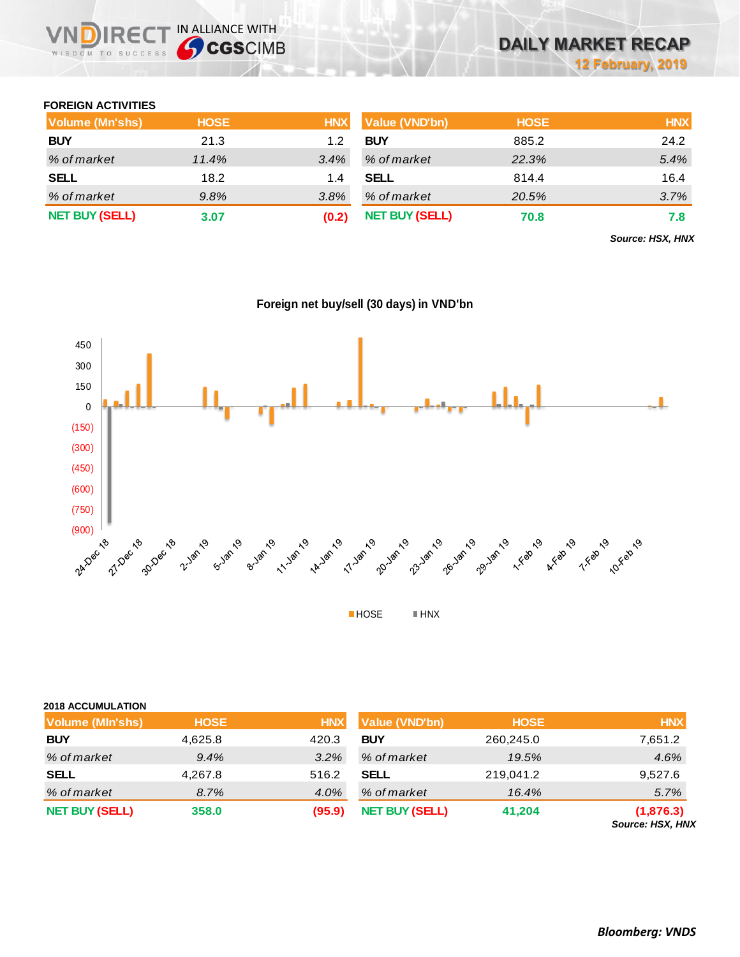

### **FOREIGN ACTIVITIES**

| Volume (Mn'shs)       | <b>HOSE</b> | <b>HNX</b> | Value (VND'bn)        | <b>HOSE</b> | <b>HNX</b> |
|-----------------------|-------------|------------|-----------------------|-------------|------------|
| <b>BUY</b>            | 21.3        | 1.2        | <b>BUY</b>            | 885.2       | 24.2       |
| % of market           | 11.4%       | $3.4\%$    | % of market           | 22.3%       | 5.4%       |
| <b>SELL</b>           | 18.2        | 1.4        | <b>SELL</b>           | 814.4       | 16.4       |
| % of market           | 9.8%        | 3.8%       | % of market           | 20.5%       | 3.7%       |
| <b>NET BUY (SELL)</b> | 3.07        | (0.2)      | <b>NET BUY (SELL)</b> | 70.8        | 7.8        |

*Source: HSX, HNX*





| <b>2018 ACCUMULATION</b> |             |            |                       |             |                               |
|--------------------------|-------------|------------|-----------------------|-------------|-------------------------------|
| <b>Volume (MIn'shs)</b>  | <b>HOSE</b> | <b>HNX</b> | Value (VND'bn)        | <b>HOSE</b> | <b>HNX</b>                    |
| <b>BUY</b>               | 4,625.8     | 420.3      | <b>BUY</b>            | 260,245.0   | 7,651.2                       |
| % of market              | 9.4%        | 3.2%       | % of market           | 19.5%       | 4.6%                          |
| <b>SELL</b>              | 4,267.8     | 516.2      | <b>SELL</b>           | 219,041.2   | 9,527.6                       |
| % of market              | 8.7%        | 4.0%       | % of market           | 16.4%       | 5.7%                          |
| <b>NET BUY (SELL)</b>    | 358.0       | (95.9)     | <b>NET BUY (SELL)</b> | 41,204      | (1,876.3)<br>Source: HSX, HNX |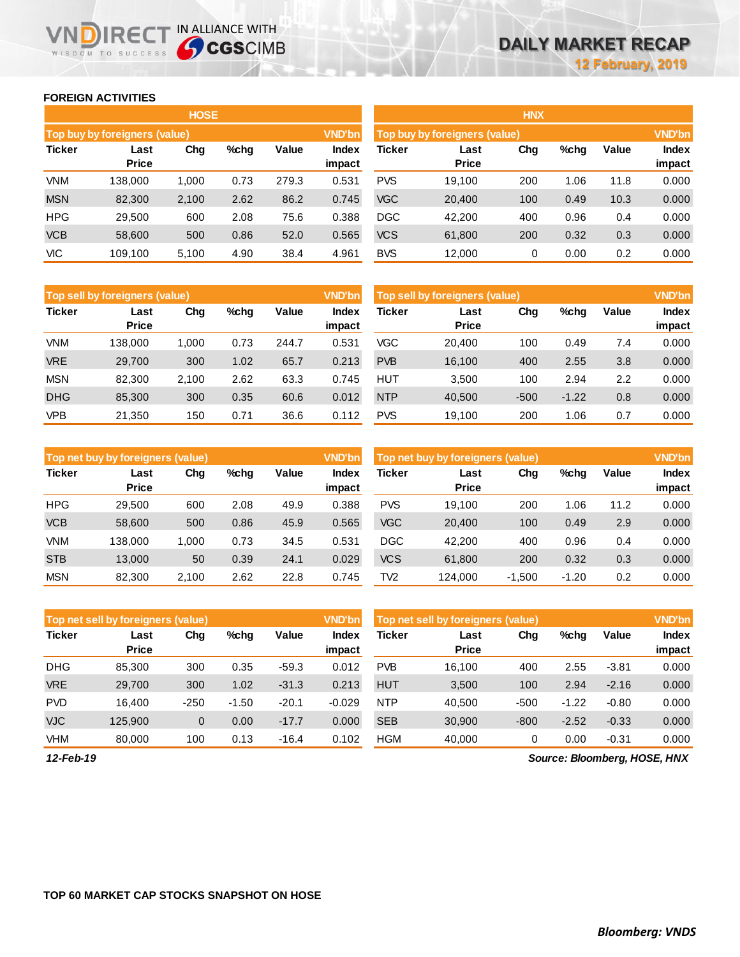### **FOREIGN ACTIVITIES**

WISDOM TO SUCCESS

**IN DIRECT IN ALLIANCE WITH** 

|               |                               | <b>HOSE</b> |         |       |                        | <b>HNX</b>                    |                      |               |      |       |                        |
|---------------|-------------------------------|-------------|---------|-------|------------------------|-------------------------------|----------------------|---------------|------|-------|------------------------|
|               | Top buy by foreigners (value) |             |         |       | <b>VND'bn</b>          | Top buy by foreigners (value) |                      | <b>VND'bn</b> |      |       |                        |
| <b>Ticker</b> | Last<br><b>Price</b>          | Chg         | $%$ chg | Value | <b>Index</b><br>impact | Ticker                        | Last<br><b>Price</b> | Chg           | %chg | Value | <b>Index</b><br>impact |
| <b>VNM</b>    | 138,000                       | 1,000       | 0.73    | 279.3 | 0.531                  | <b>PVS</b>                    | 19.100               | 200           | 1.06 | 11.8  | 0.000                  |
| <b>MSN</b>    | 82,300                        | 2,100       | 2.62    | 86.2  | 0.745                  | <b>VGC</b>                    | 20,400               | 100           | 0.49 | 10.3  | 0.000                  |
| <b>HPG</b>    | 29,500                        | 600         | 2.08    | 75.6  | 0.388                  | <b>DGC</b>                    | 42,200               | 400           | 0.96 | 0.4   | 0.000                  |
| <b>VCB</b>    | 58,600                        | 500         | 0.86    | 52.0  | 0.565                  | <b>VCS</b>                    | 61,800               | 200           | 0.32 | 0.3   | 0.000                  |
| VIC           | 109.100                       | 5,100       | 4.90    | 38.4  | 4.961                  | <b>BVS</b>                    | 12,000               | 0             | 0.00 | 0.2   | 0.000                  |

|               | <b>VND'bn</b><br>Top sell by foreigners (value) |       |      |       |                 |            | Top sell by foreigners (value) |        |         |       |                 |  |
|---------------|-------------------------------------------------|-------|------|-------|-----------------|------------|--------------------------------|--------|---------|-------|-----------------|--|
| <b>Ticker</b> | Last<br><b>Price</b>                            | Chg   | %chg | Value | Index<br>impact | Ticker     | Last<br><b>Price</b>           | Chg    | %chg    | Value | Index<br>impact |  |
| <b>VNM</b>    | 138.000                                         | 1.000 | 0.73 | 244.7 | 0.531           | VGC        | 20.400                         | 100    | 0.49    | 7.4   | 0.000           |  |
| <b>VRE</b>    | 29.700                                          | 300   | 1.02 | 65.7  | 0.213           | <b>PVB</b> | 16.100                         | 400    | 2.55    | 3.8   | 0.000           |  |
| <b>MSN</b>    | 82,300                                          | 2,100 | 2.62 | 63.3  | 0.745           | <b>HUT</b> | 3.500                          | 100    | 2.94    | 2.2   | 0.000           |  |
| <b>DHG</b>    | 85,300                                          | 300   | 0.35 | 60.6  | 0.012           | <b>NTP</b> | 40,500                         | $-500$ | $-1.22$ | 0.8   | 0.000           |  |
| <b>VPB</b>    | 21,350                                          | 150   | 0.71 | 36.6  | 0.112           | <b>PVS</b> | 19.100                         | 200    | 1.06    | 0.7   | 0.000           |  |

|               | <b>VND'bn</b><br>Top net buy by foreigners (value) |        |         |       |                 | Top net buy by foreigners (value) |                      |          |         |       | <b>VND'bn</b>          |  |
|---------------|----------------------------------------------------|--------|---------|-------|-----------------|-----------------------------------|----------------------|----------|---------|-------|------------------------|--|
| <b>Ticker</b> | Last<br><b>Price</b>                               | Chg    | $%$ chg | Value | Index<br>impact | <b>Ticker</b>                     | Last<br><b>Price</b> | Chg      | %chg    | Value | <b>Index</b><br>impact |  |
| <b>HPG</b>    | 29.500                                             | 600    | 2.08    | 49.9  | 0.388           | <b>PVS</b>                        | 19.100               | 200      | 1.06    | 11.2  | 0.000                  |  |
| <b>VCB</b>    | 58,600                                             | 500    | 0.86    | 45.9  | 0.565           | <b>VGC</b>                        | 20,400               | 100      | 0.49    | 2.9   | 0.000                  |  |
| VNM           | 138.000                                            | 000. ا | 0.73    | 34.5  | 0.531           | <b>DGC</b>                        | 42.200               | 400      | 0.96    | 0.4   | 0.000                  |  |
| <b>STB</b>    | 13,000                                             | 50     | 0.39    | 24.1  | 0.029           | <b>VCS</b>                        | 61,800               | 200      | 0.32    | 0.3   | 0.000                  |  |
| <b>MSN</b>    | 82.300                                             | 2.100  | 2.62    | 22.8  | 0.745           | TV2                               | 124.000              | $-1,500$ | $-1.20$ | 0.2   | 0.000                  |  |

|               | <b>VND'bn</b><br>Top net sell by foreigners (value) |             |         |         |                 |            | Top net sell by foreigners (value) |        |         |         |                 |
|---------------|-----------------------------------------------------|-------------|---------|---------|-----------------|------------|------------------------------------|--------|---------|---------|-----------------|
| <b>Ticker</b> | Last<br><b>Price</b>                                | Chg         | $%$ chg | Value   | Index<br>impact | Ticker     | Last<br><b>Price</b>               | Chg    | %chg    | Value   | Index<br>impact |
| <b>DHG</b>    | 85.300                                              | 300         | 0.35    | $-59.3$ | 0.012           | <b>PVB</b> | 16.100                             | 400    | 2.55    | $-3.81$ | 0.000           |
| <b>VRE</b>    | 29,700                                              | 300         | 1.02    | $-31.3$ | 0.213           | <b>HUT</b> | 3,500                              | 100    | 2.94    | $-2.16$ | 0.000           |
| <b>PVD</b>    | 16.400                                              | $-250$      | $-1.50$ | $-20.1$ | $-0.029$        | <b>NTP</b> | 40.500                             | $-500$ | $-1.22$ | $-0.80$ | 0.000           |
| <b>VJC</b>    | 125.900                                             | $\mathbf 0$ | 0.00    | $-17.7$ | 0.000           | <b>SEB</b> | 30.900                             | $-800$ | $-2.52$ | $-0.33$ | 0.000           |
| VHM           | 80,000                                              | 100         | 0.13    | $-16.4$ | 0.102           | <b>HGM</b> | 40,000                             | 0      | 0.00    | $-0.31$ | 0.000           |

*12-Feb-19*

*Source: Bloomberg, HOSE, HNX*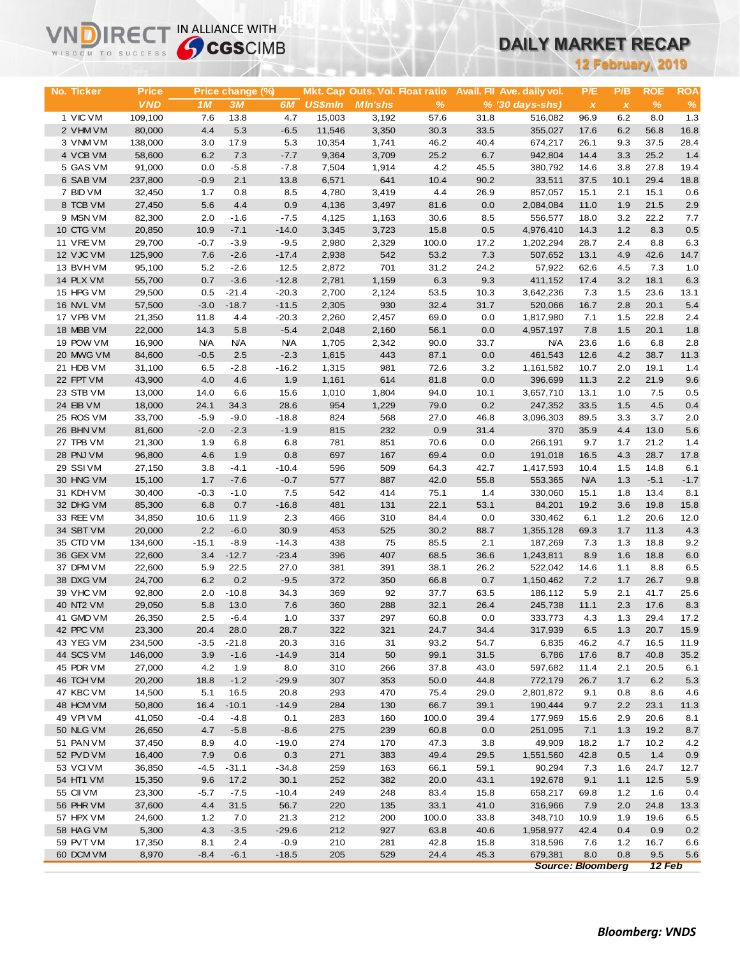# **DAILY MARKET RECAP**

| <b>12 February, 2019</b><br>P/B<br><b>ROE</b><br><b>ROA</b><br>No. Ticker<br><b>Price</b><br>Price change (%)<br>Mkt. Cap Outs. Vol. Float ratio<br>Avail. Fil Ave. daily vol.<br>P/E<br><b>VND</b><br>$\%$<br>$\%$<br>1M<br>3M<br><b>US\$mln</b><br><b>MIn'shs</b><br>% (30 days-shs)<br>$\frac{9}{6}$<br>6M<br>$\boldsymbol{\mathsf{x}}$<br>$\pmb{\chi}$<br>1 VIC VM<br>4.7<br>15,003<br>6.2<br>1.3<br>109,100<br>7.6<br>13.8<br>3,192<br>57.6<br>31.8<br>516,082<br>96.9<br>8.0<br>5.3<br>16.8<br>2 VHM VM<br>80,000<br>4.4<br>$-6.5$<br>11,546<br>3,350<br>30.3<br>33.5<br>355,027<br>17.6<br>6.2<br>56.8<br>17.9<br>28.4<br>3 VNM VM<br>138,000<br>3.0<br>5.3<br>10,354<br>1,741<br>46.2<br>40.4<br>26.1<br>9.3<br>37.5<br>674,217<br>4 VCB VM<br>6.2<br>7.3<br>$-7.7$<br>9,364<br>3,709<br>25.2<br>6.7<br>942,804<br>14.4<br>3.3<br>25.2<br>1.4<br>58,600<br>5 GAS VM<br>91,000<br>0.0<br>$-5.8$<br>$-7.8$<br>7,504<br>4.2<br>45.5<br>14.6<br>3.8<br>27.8<br>19.4<br>1,914<br>380,792<br>6 SAB VM<br>237,800<br>$-0.9$<br>2.1<br>13.8<br>6,571<br>641<br>10.4<br>90.2<br>33,511<br>37.5<br>10.1<br>29.4<br>18.8<br>7 BID VM<br>1.7<br>0.8<br>8.5<br>4.4<br>26.9<br>15.1<br>2.1<br>15.1<br>0.6<br>32,450<br>4,780<br>3,419<br>857,057<br>2.9<br>8 TCB VM<br>27,450<br>5.6<br>4.4<br>0.9<br>4,136<br>81.6<br>0.0<br>2,084,084<br>1.9<br>21.5<br>3,497<br>11.0<br>9 MSN VM<br>2.0<br>$-1.6$<br>$-7.5$<br>4,125<br>3.2<br>22.2<br>7.7<br>82,300<br>1,163<br>30.6<br>8.5<br>556,577<br>18.0<br>1.2<br>10 CTG VM<br>20,850<br>10.9<br>$-7.1$<br>$-14.0$<br>3,345<br>3,723<br>15.8<br>0.5<br>4,976,410<br>8.3<br>0.5<br>14.3<br>11 VREVM<br>29,700<br>$-0.7$<br>$-3.9$<br>$-9.5$<br>2,980<br>2,329<br>100.0<br>17.2<br>1,202,294<br>2.4<br>8.8<br>6.3<br>28.7<br>12 VJC VM<br>125,900<br>$-2.6$<br>$-17.4$<br>2,938<br>542<br>53.2<br>7.3<br>507,652<br>4.9<br>42.6<br>14.7<br>7.6<br>13.1<br>13 BVHVM<br>95,100<br>5.2<br>$-2.6$<br>12.5<br>2,872<br>701<br>31.2<br>24.2<br>57,922<br>62.6<br>4.5<br>7.3<br>1.0<br>14 PLX VM<br>0.7<br>$-3.6$<br>$-12.8$<br>2,781<br>1,159<br>6.3<br>9.3<br>17.4<br>3.2<br>18.1<br>6.3<br>55,700<br>411,152<br>15 HPG VM<br>0.5<br>$-21.4$<br>$-20.3$<br>2,700<br>2,124<br>53.5<br>10.3<br>3,642,236<br>1.5<br>23.6<br>13.1<br>29,500<br>7.3<br>16 NVL VM<br>$-3.0$<br>$-18.7$<br>$-11.5$<br>2,305<br>930<br>32.4<br>31.7<br>520,066<br>16.7<br>2.8<br>20.1<br>5.4<br>57,500<br>2.4<br>17 VPB VM<br>1.5<br>22.8<br>21,350<br>11.8<br>4.4<br>$-20.3$<br>2,260<br>2,457<br>69.0<br>0.0<br>1,817,980<br>7.1<br>18 MBB VM<br>22,000<br>14.3<br>5.8<br>$-5.4$<br>2,048<br>2,160<br>56.1<br>4,957,197<br>7.8<br>1.5<br>20.1<br>1.8<br>0.0<br>19 POW VM<br><b>N/A</b><br><b>N/A</b><br>1,705<br>90.0<br>33.7<br>6.8<br>2.8<br>16,900<br>N/A<br>2,342<br><b>N/A</b><br>23.6<br>1.6<br>4.2<br>38.7<br>20 MWG VM<br>84,600<br>$-0.5$<br>2.5<br>$-2.3$<br>1,615<br>443<br>87.1<br>0.0<br>461,543<br>12.6<br>11.3<br>21 HDB VM<br>31,100<br>6.5<br>$-2.8$<br>$-16.2$<br>1,315<br>981<br>72.6<br>3.2<br>1,161,582<br>10.7<br>2.0<br>19.1<br>1.4<br>4.0<br>9.6<br>22 FPT VM<br>43,900<br>4.6<br>1.9<br>1,161<br>614<br>81.8<br>0.0<br>396,699<br>11.3<br>2.2<br>21.9<br>23 STB VM<br>13,000<br>14.0<br>6.6<br>15.6<br>1,010<br>1,804<br>94.0<br>10.1<br>3,657,710<br>13.1<br>1.0<br>7.5<br>0.5<br>0.2<br>24 EIB VM<br>18,000<br>24.1<br>34.3<br>28.6<br>954<br>79.0<br>247,352<br>33.5<br>1.5<br>4.5<br>0.4<br>1,229<br>25 ROS VM<br>33,700<br>$-5.9$<br>$-9.0$<br>$-18.8$<br>824<br>568<br>27.0<br>46.8<br>3,096,303<br>89.5<br>3.3<br>3.7<br>2.0<br>26 BHN VM<br>$-2.0$<br>$-2.3$<br>$-1.9$<br>815<br>232<br>0.9<br>31.4<br>370<br>4.4<br>13.0<br>5.6<br>81,600<br>35.9<br>27 TPB VM<br>781<br>851<br>21.2<br>1.4<br>21,300<br>1.9<br>6.8<br>6.8<br>70.6<br>0.0<br>266,191<br>9.7<br>1.7<br>28 PNJ VM<br>96,800<br>4.6<br>1.9<br>0.8<br>697<br>167<br>69.4<br>0.0<br>4.3<br>28.7<br>17.8<br>191,018<br>16.5<br>29 SSIVM<br>3.8<br>$-10.4$<br>596<br>509<br>64.3<br>42.7<br>14.8<br>27,150<br>$-4.1$<br>1,417,593<br>10.4<br>1.5<br>6.1<br>30 HNG VM<br>15,100<br>1.7<br>$-7.6$<br>$-0.7$<br>577<br>887<br>42.0<br>55.8<br>553,365<br><b>N/A</b><br>1.3<br>$-5.1$<br>$-1.7$<br>31 KDH VM<br>30,400<br>$-0.3$<br>$-1.0$<br>7.5<br>542<br>414<br>75.1<br>1.4<br>1.8<br>13.4<br>8.1<br>330,060<br>15.1<br>32 DHG VM<br>85,300<br>6.8<br>0.7<br>$-16.8$<br>481<br>131<br>22.1<br>53.1<br>84,201<br>19.2<br>3.6<br>19.8<br>15.8<br>33 REE VM<br>34,850<br>10.6<br>11.9<br>2.3<br>466<br>310<br>84.4<br>0.0<br>330,462<br>1.2<br>20.6<br>12.0<br>6.1<br>2.2<br>34 SBT VM<br>20,000<br>$-6.0$<br>30.9<br>453<br>525<br>30.2<br>88.7<br>1.7<br>11.3<br>4.3<br>1,355,128<br>69.3<br>35 CTD VM<br>134,600<br>$-15.1$<br>$-8.9$<br>$-14.3$<br>438<br>75<br>85.5<br>2.1<br>7.3<br>1.3<br>18.8<br>9.2<br>187,269<br>36 GEX VM<br>3.4<br>$-12.7$<br>$-23.4$<br>396<br>407<br>68.5<br>36.6<br>8.9<br>1.6<br>18.8<br>6.0<br>22,600<br>1,243,811<br>37 DPM VM<br>5.9<br>27.0<br>381<br>391<br>38.1<br>26.2<br>522,042<br>8.8<br>6.5<br>22,600<br>22.5<br>14.6<br>1.1<br>9.8<br>38 DXG VM<br>24,700<br>6.2<br>0.2<br>$-9.5$<br>372<br>350<br>0.7<br>1,150,462<br>7.2<br>1.7<br>26.7<br>66.8<br>39 VHC VM<br>92,800<br>369<br>63.5<br>2.0<br>$-10.8$<br>34.3<br>92<br>37.7<br>186,112<br>5.9<br>2.1<br>41.7<br>25.6<br>32.1<br>40 NT2 VM<br>29,050<br>5.8<br>13.0<br>7.6<br>360<br>288<br>26.4<br>245,738<br>2.3<br>17.6<br>8.3<br>11.1<br>41 GMD VM<br>26,350<br>2.5<br>$-6.4$<br>1.0<br>337<br>297<br>60.8<br>0.0<br>333,773<br>29.4<br>17.2<br>4.3<br>1.3<br>42 PPC VM<br>23,300<br>20.4<br>28.0<br>28.7<br>322<br>321<br>24.7<br>34.4<br>317,939<br>6.5<br>1.3<br>20.7<br>15.9<br>43 YEG VM<br>20.3<br>316<br>31<br>93.2<br>54.7<br>11.9<br>234,500<br>$-3.5$<br>$-21.8$<br>6,835<br>46.2<br>4.7<br>16.5<br>44 SCS VM<br>146,000<br>3.9<br>$-14.9$<br>314<br>50<br>99.1<br>31.5<br>6,786<br>40.8<br>35.2<br>$-1.6$<br>17.6<br>8.7<br>45 PDR VM<br>27,000<br>4.2<br>8.0<br>310<br>266<br>43.0<br>597,682<br>1.9<br>37.8<br>11.4<br>2.1<br>20.5<br>6.1<br>46 TCH VM<br>20,200<br>$-1.2$<br>$-29.9$<br>307<br>353<br>44.8<br>6.2<br>18.8<br>50.0<br>772,179<br>26.7<br>1.7<br>5.3<br>47 KBC VM<br>14,500<br>5.1<br>75.4<br>16.5<br>20.8<br>293<br>470<br>29.0<br>2,801,872<br>9.1<br>0.8<br>8.6<br>4.6<br>48 HCM VM<br>50,800<br>$-14.9$<br>284<br>66.7<br>39.1<br>2.2<br>23.1<br>11.3<br>16.4<br>$-10.1$<br>130<br>190,444<br>9.7<br>49 VPI VM<br>283<br>41,050<br>$-0.4$<br>$-4.8$<br>0.1<br>160<br>100.0<br>39.4<br>177,969<br>15.6<br>2.9<br>20.6<br>8.1<br>50 NLG VM<br>26,650<br>4.7<br>$-8.6$<br>275<br>239<br>0.0<br>251,095<br>1.3<br>19.2<br>$-5.8$<br>60.8<br>7.1<br>8.7<br>51 PAN VM<br>37,450<br>8.9<br>$-19.0$<br>274<br>170<br>47.3<br>49,909<br>4.0<br>3.8<br>18.2<br>10.2<br>4.2<br>1.7<br>52 PVD VM<br>16,400<br>7.9<br>0.3<br>271<br>383<br>49.4<br>29.5<br>1,551,560<br>1.4<br>0.6<br>42.8<br>0.5<br>0.9<br>53 VCIVM<br>$-31.1$<br>259<br>163<br>59.1<br>12.7<br>36,850<br>-4.5<br>$-34.8$<br>66.1<br>90,294<br>7.3<br>1.6<br>24.7<br>54 HT1 VM<br>15,350<br>9.6<br>17.2<br>30.1<br>252<br>382<br>20.0<br>43.1<br>9.1<br>1.1<br>12.5<br>5.9<br>192,678<br>55 CII VM<br>23,300<br>$-10.4$<br>249<br>83.4<br>$-5.7$<br>$-7.5$<br>248<br>15.8<br>658,217<br>69.8<br>1.2<br>1.6<br>0.4<br>56 PHR VM<br>4.4<br>31.5<br>56.7<br>220<br>33.1<br>41.0<br>37,600<br>135<br>316,966<br>7.9<br>2.0<br>24.8<br>13.3<br>57 HPX VM<br>212<br>24,600<br>1.2<br>7.0<br>21.3<br>200<br>100.0<br>33.8<br>348,710<br>10.9<br>1.9<br>19.6<br>6.5<br>58 HAG VM<br>5,300<br>4.3<br>$-3.5$<br>$-29.6$<br>212<br>927<br>63.8<br>40.6<br>1,958,977<br>42.4<br>0.4<br>0.9<br>0.2<br>59 PVT VM<br>17,350<br>$-0.9$<br>210<br>42.8<br>15.8<br>8.1<br>2.4<br>281<br>318,596<br>7.6<br>1.2<br>16.7<br>6.6<br>60 DCM VM<br>8,970<br>$-8.4$<br>$-6.1$<br>205<br>529<br>679,381<br>8.0<br>0.8<br>9.5<br>$-18.5$<br>24.4<br>45.3<br>5.6<br><b>Source: Bloomberg</b><br>12 Feb | <b>Sy CGS</b> CIMB<br>WISDOM TO SUCCESS |  |  |  |  |  |  | DAILY MARKET RECAP |  |  |  |  |  |
|------------------------------------------------------------------------------------------------------------------------------------------------------------------------------------------------------------------------------------------------------------------------------------------------------------------------------------------------------------------------------------------------------------------------------------------------------------------------------------------------------------------------------------------------------------------------------------------------------------------------------------------------------------------------------------------------------------------------------------------------------------------------------------------------------------------------------------------------------------------------------------------------------------------------------------------------------------------------------------------------------------------------------------------------------------------------------------------------------------------------------------------------------------------------------------------------------------------------------------------------------------------------------------------------------------------------------------------------------------------------------------------------------------------------------------------------------------------------------------------------------------------------------------------------------------------------------------------------------------------------------------------------------------------------------------------------------------------------------------------------------------------------------------------------------------------------------------------------------------------------------------------------------------------------------------------------------------------------------------------------------------------------------------------------------------------------------------------------------------------------------------------------------------------------------------------------------------------------------------------------------------------------------------------------------------------------------------------------------------------------------------------------------------------------------------------------------------------------------------------------------------------------------------------------------------------------------------------------------------------------------------------------------------------------------------------------------------------------------------------------------------------------------------------------------------------------------------------------------------------------------------------------------------------------------------------------------------------------------------------------------------------------------------------------------------------------------------------------------------------------------------------------------------------------------------------------------------------------------------------------------------------------------------------------------------------------------------------------------------------------------------------------------------------------------------------------------------------------------------------------------------------------------------------------------------------------------------------------------------------------------------------------------------------------------------------------------------------------------------------------------------------------------------------------------------------------------------------------------------------------------------------------------------------------------------------------------------------------------------------------------------------------------------------------------------------------------------------------------------------------------------------------------------------------------------------------------------------------------------------------------------------------------------------------------------------------------------------------------------------------------------------------------------------------------------------------------------------------------------------------------------------------------------------------------------------------------------------------------------------------------------------------------------------------------------------------------------------------------------------------------------------------------------------------------------------------------------------------------------------------------------------------------------------------------------------------------------------------------------------------------------------------------------------------------------------------------------------------------------------------------------------------------------------------------------------------------------------------------------------------------------------------------------------------------------------------------------------------------------------------------------------------------------------------------------------------------------------------------------------------------------------------------------------------------------------------------------------------------------------------------------------------------------------------------------------------------------------------------------------------------------------------------------------------------------------------------------------------------------------------------------------------------------------------------------------------------------------------------------------------------------------------------------------------------------------------------------------------------------------------------------------------------------------------------------------------------------------------------------------------------------------------------------------------------------------------------------------------------------------------------------------------------------------------------------------------------------------------------------------------------------------------------------------------------------------------------------------------------------------------------------------------------------------------------------------------------------------------------------------------------------------------------------------------------------------------------------------------------------------------------------------------------------------------------------------------------------------------------------------------------------------------------------------------------------------------------------------------------------------------------------------------------------------------------------------------------------------------------------------------------------------------------------------------------------------------------------------------------------------------------------------------------------------------------------------------------------------------------------------------------------------------------------------------------------------------------------------------------------------------------------------------------------------------------------------------------------------------------------------------------------------------------------------------------------------------------------------------------------------------------------------------------------------------------------------------------------------|-----------------------------------------|--|--|--|--|--|--|--------------------|--|--|--|--|--|
|                                                                                                                                                                                                                                                                                                                                                                                                                                                                                                                                                                                                                                                                                                                                                                                                                                                                                                                                                                                                                                                                                                                                                                                                                                                                                                                                                                                                                                                                                                                                                                                                                                                                                                                                                                                                                                                                                                                                                                                                                                                                                                                                                                                                                                                                                                                                                                                                                                                                                                                                                                                                                                                                                                                                                                                                                                                                                                                                                                                                                                                                                                                                                                                                                                                                                                                                                                                                                                                                                                                                                                                                                                                                                                                                                                                                                                                                                                                                                                                                                                                                                                                                                                                                                                                                                                                                                                                                                                                                                                                                                                                                                                                                                                                                                                                                                                                                                                                                                                                                                                                                                                                                                                                                                                                                                                                                                                                                                                                                                                                                                                                                                                                                                                                                                                                                                                                                                                                                                                                                                                                                                                                                                                                                                                                                                                                                                                                                                                                                                                                                                                                                                                                                                                                                                                                                                                                                                                                                                                                                                                                                                                                                                                                                                                                                                                                                                                                                                                                                                                                                                                                                                                                                                                                                                                                                                                                                                                                                                                  |                                         |  |  |  |  |  |  |                    |  |  |  |  |  |
|                                                                                                                                                                                                                                                                                                                                                                                                                                                                                                                                                                                                                                                                                                                                                                                                                                                                                                                                                                                                                                                                                                                                                                                                                                                                                                                                                                                                                                                                                                                                                                                                                                                                                                                                                                                                                                                                                                                                                                                                                                                                                                                                                                                                                                                                                                                                                                                                                                                                                                                                                                                                                                                                                                                                                                                                                                                                                                                                                                                                                                                                                                                                                                                                                                                                                                                                                                                                                                                                                                                                                                                                                                                                                                                                                                                                                                                                                                                                                                                                                                                                                                                                                                                                                                                                                                                                                                                                                                                                                                                                                                                                                                                                                                                                                                                                                                                                                                                                                                                                                                                                                                                                                                                                                                                                                                                                                                                                                                                                                                                                                                                                                                                                                                                                                                                                                                                                                                                                                                                                                                                                                                                                                                                                                                                                                                                                                                                                                                                                                                                                                                                                                                                                                                                                                                                                                                                                                                                                                                                                                                                                                                                                                                                                                                                                                                                                                                                                                                                                                                                                                                                                                                                                                                                                                                                                                                                                                                                                                                  |                                         |  |  |  |  |  |  |                    |  |  |  |  |  |
|                                                                                                                                                                                                                                                                                                                                                                                                                                                                                                                                                                                                                                                                                                                                                                                                                                                                                                                                                                                                                                                                                                                                                                                                                                                                                                                                                                                                                                                                                                                                                                                                                                                                                                                                                                                                                                                                                                                                                                                                                                                                                                                                                                                                                                                                                                                                                                                                                                                                                                                                                                                                                                                                                                                                                                                                                                                                                                                                                                                                                                                                                                                                                                                                                                                                                                                                                                                                                                                                                                                                                                                                                                                                                                                                                                                                                                                                                                                                                                                                                                                                                                                                                                                                                                                                                                                                                                                                                                                                                                                                                                                                                                                                                                                                                                                                                                                                                                                                                                                                                                                                                                                                                                                                                                                                                                                                                                                                                                                                                                                                                                                                                                                                                                                                                                                                                                                                                                                                                                                                                                                                                                                                                                                                                                                                                                                                                                                                                                                                                                                                                                                                                                                                                                                                                                                                                                                                                                                                                                                                                                                                                                                                                                                                                                                                                                                                                                                                                                                                                                                                                                                                                                                                                                                                                                                                                                                                                                                                                                  |                                         |  |  |  |  |  |  |                    |  |  |  |  |  |
|                                                                                                                                                                                                                                                                                                                                                                                                                                                                                                                                                                                                                                                                                                                                                                                                                                                                                                                                                                                                                                                                                                                                                                                                                                                                                                                                                                                                                                                                                                                                                                                                                                                                                                                                                                                                                                                                                                                                                                                                                                                                                                                                                                                                                                                                                                                                                                                                                                                                                                                                                                                                                                                                                                                                                                                                                                                                                                                                                                                                                                                                                                                                                                                                                                                                                                                                                                                                                                                                                                                                                                                                                                                                                                                                                                                                                                                                                                                                                                                                                                                                                                                                                                                                                                                                                                                                                                                                                                                                                                                                                                                                                                                                                                                                                                                                                                                                                                                                                                                                                                                                                                                                                                                                                                                                                                                                                                                                                                                                                                                                                                                                                                                                                                                                                                                                                                                                                                                                                                                                                                                                                                                                                                                                                                                                                                                                                                                                                                                                                                                                                                                                                                                                                                                                                                                                                                                                                                                                                                                                                                                                                                                                                                                                                                                                                                                                                                                                                                                                                                                                                                                                                                                                                                                                                                                                                                                                                                                                                                  |                                         |  |  |  |  |  |  |                    |  |  |  |  |  |
|                                                                                                                                                                                                                                                                                                                                                                                                                                                                                                                                                                                                                                                                                                                                                                                                                                                                                                                                                                                                                                                                                                                                                                                                                                                                                                                                                                                                                                                                                                                                                                                                                                                                                                                                                                                                                                                                                                                                                                                                                                                                                                                                                                                                                                                                                                                                                                                                                                                                                                                                                                                                                                                                                                                                                                                                                                                                                                                                                                                                                                                                                                                                                                                                                                                                                                                                                                                                                                                                                                                                                                                                                                                                                                                                                                                                                                                                                                                                                                                                                                                                                                                                                                                                                                                                                                                                                                                                                                                                                                                                                                                                                                                                                                                                                                                                                                                                                                                                                                                                                                                                                                                                                                                                                                                                                                                                                                                                                                                                                                                                                                                                                                                                                                                                                                                                                                                                                                                                                                                                                                                                                                                                                                                                                                                                                                                                                                                                                                                                                                                                                                                                                                                                                                                                                                                                                                                                                                                                                                                                                                                                                                                                                                                                                                                                                                                                                                                                                                                                                                                                                                                                                                                                                                                                                                                                                                                                                                                                                                  |                                         |  |  |  |  |  |  |                    |  |  |  |  |  |
|                                                                                                                                                                                                                                                                                                                                                                                                                                                                                                                                                                                                                                                                                                                                                                                                                                                                                                                                                                                                                                                                                                                                                                                                                                                                                                                                                                                                                                                                                                                                                                                                                                                                                                                                                                                                                                                                                                                                                                                                                                                                                                                                                                                                                                                                                                                                                                                                                                                                                                                                                                                                                                                                                                                                                                                                                                                                                                                                                                                                                                                                                                                                                                                                                                                                                                                                                                                                                                                                                                                                                                                                                                                                                                                                                                                                                                                                                                                                                                                                                                                                                                                                                                                                                                                                                                                                                                                                                                                                                                                                                                                                                                                                                                                                                                                                                                                                                                                                                                                                                                                                                                                                                                                                                                                                                                                                                                                                                                                                                                                                                                                                                                                                                                                                                                                                                                                                                                                                                                                                                                                                                                                                                                                                                                                                                                                                                                                                                                                                                                                                                                                                                                                                                                                                                                                                                                                                                                                                                                                                                                                                                                                                                                                                                                                                                                                                                                                                                                                                                                                                                                                                                                                                                                                                                                                                                                                                                                                                                                  |                                         |  |  |  |  |  |  |                    |  |  |  |  |  |
|                                                                                                                                                                                                                                                                                                                                                                                                                                                                                                                                                                                                                                                                                                                                                                                                                                                                                                                                                                                                                                                                                                                                                                                                                                                                                                                                                                                                                                                                                                                                                                                                                                                                                                                                                                                                                                                                                                                                                                                                                                                                                                                                                                                                                                                                                                                                                                                                                                                                                                                                                                                                                                                                                                                                                                                                                                                                                                                                                                                                                                                                                                                                                                                                                                                                                                                                                                                                                                                                                                                                                                                                                                                                                                                                                                                                                                                                                                                                                                                                                                                                                                                                                                                                                                                                                                                                                                                                                                                                                                                                                                                                                                                                                                                                                                                                                                                                                                                                                                                                                                                                                                                                                                                                                                                                                                                                                                                                                                                                                                                                                                                                                                                                                                                                                                                                                                                                                                                                                                                                                                                                                                                                                                                                                                                                                                                                                                                                                                                                                                                                                                                                                                                                                                                                                                                                                                                                                                                                                                                                                                                                                                                                                                                                                                                                                                                                                                                                                                                                                                                                                                                                                                                                                                                                                                                                                                                                                                                                                                  |                                         |  |  |  |  |  |  |                    |  |  |  |  |  |
|                                                                                                                                                                                                                                                                                                                                                                                                                                                                                                                                                                                                                                                                                                                                                                                                                                                                                                                                                                                                                                                                                                                                                                                                                                                                                                                                                                                                                                                                                                                                                                                                                                                                                                                                                                                                                                                                                                                                                                                                                                                                                                                                                                                                                                                                                                                                                                                                                                                                                                                                                                                                                                                                                                                                                                                                                                                                                                                                                                                                                                                                                                                                                                                                                                                                                                                                                                                                                                                                                                                                                                                                                                                                                                                                                                                                                                                                                                                                                                                                                                                                                                                                                                                                                                                                                                                                                                                                                                                                                                                                                                                                                                                                                                                                                                                                                                                                                                                                                                                                                                                                                                                                                                                                                                                                                                                                                                                                                                                                                                                                                                                                                                                                                                                                                                                                                                                                                                                                                                                                                                                                                                                                                                                                                                                                                                                                                                                                                                                                                                                                                                                                                                                                                                                                                                                                                                                                                                                                                                                                                                                                                                                                                                                                                                                                                                                                                                                                                                                                                                                                                                                                                                                                                                                                                                                                                                                                                                                                                                  |                                         |  |  |  |  |  |  |                    |  |  |  |  |  |
|                                                                                                                                                                                                                                                                                                                                                                                                                                                                                                                                                                                                                                                                                                                                                                                                                                                                                                                                                                                                                                                                                                                                                                                                                                                                                                                                                                                                                                                                                                                                                                                                                                                                                                                                                                                                                                                                                                                                                                                                                                                                                                                                                                                                                                                                                                                                                                                                                                                                                                                                                                                                                                                                                                                                                                                                                                                                                                                                                                                                                                                                                                                                                                                                                                                                                                                                                                                                                                                                                                                                                                                                                                                                                                                                                                                                                                                                                                                                                                                                                                                                                                                                                                                                                                                                                                                                                                                                                                                                                                                                                                                                                                                                                                                                                                                                                                                                                                                                                                                                                                                                                                                                                                                                                                                                                                                                                                                                                                                                                                                                                                                                                                                                                                                                                                                                                                                                                                                                                                                                                                                                                                                                                                                                                                                                                                                                                                                                                                                                                                                                                                                                                                                                                                                                                                                                                                                                                                                                                                                                                                                                                                                                                                                                                                                                                                                                                                                                                                                                                                                                                                                                                                                                                                                                                                                                                                                                                                                                                                  |                                         |  |  |  |  |  |  |                    |  |  |  |  |  |
|                                                                                                                                                                                                                                                                                                                                                                                                                                                                                                                                                                                                                                                                                                                                                                                                                                                                                                                                                                                                                                                                                                                                                                                                                                                                                                                                                                                                                                                                                                                                                                                                                                                                                                                                                                                                                                                                                                                                                                                                                                                                                                                                                                                                                                                                                                                                                                                                                                                                                                                                                                                                                                                                                                                                                                                                                                                                                                                                                                                                                                                                                                                                                                                                                                                                                                                                                                                                                                                                                                                                                                                                                                                                                                                                                                                                                                                                                                                                                                                                                                                                                                                                                                                                                                                                                                                                                                                                                                                                                                                                                                                                                                                                                                                                                                                                                                                                                                                                                                                                                                                                                                                                                                                                                                                                                                                                                                                                                                                                                                                                                                                                                                                                                                                                                                                                                                                                                                                                                                                                                                                                                                                                                                                                                                                                                                                                                                                                                                                                                                                                                                                                                                                                                                                                                                                                                                                                                                                                                                                                                                                                                                                                                                                                                                                                                                                                                                                                                                                                                                                                                                                                                                                                                                                                                                                                                                                                                                                                                                  |                                         |  |  |  |  |  |  |                    |  |  |  |  |  |
|                                                                                                                                                                                                                                                                                                                                                                                                                                                                                                                                                                                                                                                                                                                                                                                                                                                                                                                                                                                                                                                                                                                                                                                                                                                                                                                                                                                                                                                                                                                                                                                                                                                                                                                                                                                                                                                                                                                                                                                                                                                                                                                                                                                                                                                                                                                                                                                                                                                                                                                                                                                                                                                                                                                                                                                                                                                                                                                                                                                                                                                                                                                                                                                                                                                                                                                                                                                                                                                                                                                                                                                                                                                                                                                                                                                                                                                                                                                                                                                                                                                                                                                                                                                                                                                                                                                                                                                                                                                                                                                                                                                                                                                                                                                                                                                                                                                                                                                                                                                                                                                                                                                                                                                                                                                                                                                                                                                                                                                                                                                                                                                                                                                                                                                                                                                                                                                                                                                                                                                                                                                                                                                                                                                                                                                                                                                                                                                                                                                                                                                                                                                                                                                                                                                                                                                                                                                                                                                                                                                                                                                                                                                                                                                                                                                                                                                                                                                                                                                                                                                                                                                                                                                                                                                                                                                                                                                                                                                                                                  |                                         |  |  |  |  |  |  |                    |  |  |  |  |  |
|                                                                                                                                                                                                                                                                                                                                                                                                                                                                                                                                                                                                                                                                                                                                                                                                                                                                                                                                                                                                                                                                                                                                                                                                                                                                                                                                                                                                                                                                                                                                                                                                                                                                                                                                                                                                                                                                                                                                                                                                                                                                                                                                                                                                                                                                                                                                                                                                                                                                                                                                                                                                                                                                                                                                                                                                                                                                                                                                                                                                                                                                                                                                                                                                                                                                                                                                                                                                                                                                                                                                                                                                                                                                                                                                                                                                                                                                                                                                                                                                                                                                                                                                                                                                                                                                                                                                                                                                                                                                                                                                                                                                                                                                                                                                                                                                                                                                                                                                                                                                                                                                                                                                                                                                                                                                                                                                                                                                                                                                                                                                                                                                                                                                                                                                                                                                                                                                                                                                                                                                                                                                                                                                                                                                                                                                                                                                                                                                                                                                                                                                                                                                                                                                                                                                                                                                                                                                                                                                                                                                                                                                                                                                                                                                                                                                                                                                                                                                                                                                                                                                                                                                                                                                                                                                                                                                                                                                                                                                                                  |                                         |  |  |  |  |  |  |                    |  |  |  |  |  |
|                                                                                                                                                                                                                                                                                                                                                                                                                                                                                                                                                                                                                                                                                                                                                                                                                                                                                                                                                                                                                                                                                                                                                                                                                                                                                                                                                                                                                                                                                                                                                                                                                                                                                                                                                                                                                                                                                                                                                                                                                                                                                                                                                                                                                                                                                                                                                                                                                                                                                                                                                                                                                                                                                                                                                                                                                                                                                                                                                                                                                                                                                                                                                                                                                                                                                                                                                                                                                                                                                                                                                                                                                                                                                                                                                                                                                                                                                                                                                                                                                                                                                                                                                                                                                                                                                                                                                                                                                                                                                                                                                                                                                                                                                                                                                                                                                                                                                                                                                                                                                                                                                                                                                                                                                                                                                                                                                                                                                                                                                                                                                                                                                                                                                                                                                                                                                                                                                                                                                                                                                                                                                                                                                                                                                                                                                                                                                                                                                                                                                                                                                                                                                                                                                                                                                                                                                                                                                                                                                                                                                                                                                                                                                                                                                                                                                                                                                                                                                                                                                                                                                                                                                                                                                                                                                                                                                                                                                                                                                                  |                                         |  |  |  |  |  |  |                    |  |  |  |  |  |
|                                                                                                                                                                                                                                                                                                                                                                                                                                                                                                                                                                                                                                                                                                                                                                                                                                                                                                                                                                                                                                                                                                                                                                                                                                                                                                                                                                                                                                                                                                                                                                                                                                                                                                                                                                                                                                                                                                                                                                                                                                                                                                                                                                                                                                                                                                                                                                                                                                                                                                                                                                                                                                                                                                                                                                                                                                                                                                                                                                                                                                                                                                                                                                                                                                                                                                                                                                                                                                                                                                                                                                                                                                                                                                                                                                                                                                                                                                                                                                                                                                                                                                                                                                                                                                                                                                                                                                                                                                                                                                                                                                                                                                                                                                                                                                                                                                                                                                                                                                                                                                                                                                                                                                                                                                                                                                                                                                                                                                                                                                                                                                                                                                                                                                                                                                                                                                                                                                                                                                                                                                                                                                                                                                                                                                                                                                                                                                                                                                                                                                                                                                                                                                                                                                                                                                                                                                                                                                                                                                                                                                                                                                                                                                                                                                                                                                                                                                                                                                                                                                                                                                                                                                                                                                                                                                                                                                                                                                                                                                  |                                         |  |  |  |  |  |  |                    |  |  |  |  |  |
|                                                                                                                                                                                                                                                                                                                                                                                                                                                                                                                                                                                                                                                                                                                                                                                                                                                                                                                                                                                                                                                                                                                                                                                                                                                                                                                                                                                                                                                                                                                                                                                                                                                                                                                                                                                                                                                                                                                                                                                                                                                                                                                                                                                                                                                                                                                                                                                                                                                                                                                                                                                                                                                                                                                                                                                                                                                                                                                                                                                                                                                                                                                                                                                                                                                                                                                                                                                                                                                                                                                                                                                                                                                                                                                                                                                                                                                                                                                                                                                                                                                                                                                                                                                                                                                                                                                                                                                                                                                                                                                                                                                                                                                                                                                                                                                                                                                                                                                                                                                                                                                                                                                                                                                                                                                                                                                                                                                                                                                                                                                                                                                                                                                                                                                                                                                                                                                                                                                                                                                                                                                                                                                                                                                                                                                                                                                                                                                                                                                                                                                                                                                                                                                                                                                                                                                                                                                                                                                                                                                                                                                                                                                                                                                                                                                                                                                                                                                                                                                                                                                                                                                                                                                                                                                                                                                                                                                                                                                                                                  |                                         |  |  |  |  |  |  |                    |  |  |  |  |  |
|                                                                                                                                                                                                                                                                                                                                                                                                                                                                                                                                                                                                                                                                                                                                                                                                                                                                                                                                                                                                                                                                                                                                                                                                                                                                                                                                                                                                                                                                                                                                                                                                                                                                                                                                                                                                                                                                                                                                                                                                                                                                                                                                                                                                                                                                                                                                                                                                                                                                                                                                                                                                                                                                                                                                                                                                                                                                                                                                                                                                                                                                                                                                                                                                                                                                                                                                                                                                                                                                                                                                                                                                                                                                                                                                                                                                                                                                                                                                                                                                                                                                                                                                                                                                                                                                                                                                                                                                                                                                                                                                                                                                                                                                                                                                                                                                                                                                                                                                                                                                                                                                                                                                                                                                                                                                                                                                                                                                                                                                                                                                                                                                                                                                                                                                                                                                                                                                                                                                                                                                                                                                                                                                                                                                                                                                                                                                                                                                                                                                                                                                                                                                                                                                                                                                                                                                                                                                                                                                                                                                                                                                                                                                                                                                                                                                                                                                                                                                                                                                                                                                                                                                                                                                                                                                                                                                                                                                                                                                                                  |                                         |  |  |  |  |  |  |                    |  |  |  |  |  |
|                                                                                                                                                                                                                                                                                                                                                                                                                                                                                                                                                                                                                                                                                                                                                                                                                                                                                                                                                                                                                                                                                                                                                                                                                                                                                                                                                                                                                                                                                                                                                                                                                                                                                                                                                                                                                                                                                                                                                                                                                                                                                                                                                                                                                                                                                                                                                                                                                                                                                                                                                                                                                                                                                                                                                                                                                                                                                                                                                                                                                                                                                                                                                                                                                                                                                                                                                                                                                                                                                                                                                                                                                                                                                                                                                                                                                                                                                                                                                                                                                                                                                                                                                                                                                                                                                                                                                                                                                                                                                                                                                                                                                                                                                                                                                                                                                                                                                                                                                                                                                                                                                                                                                                                                                                                                                                                                                                                                                                                                                                                                                                                                                                                                                                                                                                                                                                                                                                                                                                                                                                                                                                                                                                                                                                                                                                                                                                                                                                                                                                                                                                                                                                                                                                                                                                                                                                                                                                                                                                                                                                                                                                                                                                                                                                                                                                                                                                                                                                                                                                                                                                                                                                                                                                                                                                                                                                                                                                                                                                  |                                         |  |  |  |  |  |  |                    |  |  |  |  |  |
|                                                                                                                                                                                                                                                                                                                                                                                                                                                                                                                                                                                                                                                                                                                                                                                                                                                                                                                                                                                                                                                                                                                                                                                                                                                                                                                                                                                                                                                                                                                                                                                                                                                                                                                                                                                                                                                                                                                                                                                                                                                                                                                                                                                                                                                                                                                                                                                                                                                                                                                                                                                                                                                                                                                                                                                                                                                                                                                                                                                                                                                                                                                                                                                                                                                                                                                                                                                                                                                                                                                                                                                                                                                                                                                                                                                                                                                                                                                                                                                                                                                                                                                                                                                                                                                                                                                                                                                                                                                                                                                                                                                                                                                                                                                                                                                                                                                                                                                                                                                                                                                                                                                                                                                                                                                                                                                                                                                                                                                                                                                                                                                                                                                                                                                                                                                                                                                                                                                                                                                                                                                                                                                                                                                                                                                                                                                                                                                                                                                                                                                                                                                                                                                                                                                                                                                                                                                                                                                                                                                                                                                                                                                                                                                                                                                                                                                                                                                                                                                                                                                                                                                                                                                                                                                                                                                                                                                                                                                                                                  |                                         |  |  |  |  |  |  |                    |  |  |  |  |  |
|                                                                                                                                                                                                                                                                                                                                                                                                                                                                                                                                                                                                                                                                                                                                                                                                                                                                                                                                                                                                                                                                                                                                                                                                                                                                                                                                                                                                                                                                                                                                                                                                                                                                                                                                                                                                                                                                                                                                                                                                                                                                                                                                                                                                                                                                                                                                                                                                                                                                                                                                                                                                                                                                                                                                                                                                                                                                                                                                                                                                                                                                                                                                                                                                                                                                                                                                                                                                                                                                                                                                                                                                                                                                                                                                                                                                                                                                                                                                                                                                                                                                                                                                                                                                                                                                                                                                                                                                                                                                                                                                                                                                                                                                                                                                                                                                                                                                                                                                                                                                                                                                                                                                                                                                                                                                                                                                                                                                                                                                                                                                                                                                                                                                                                                                                                                                                                                                                                                                                                                                                                                                                                                                                                                                                                                                                                                                                                                                                                                                                                                                                                                                                                                                                                                                                                                                                                                                                                                                                                                                                                                                                                                                                                                                                                                                                                                                                                                                                                                                                                                                                                                                                                                                                                                                                                                                                                                                                                                                                                  |                                         |  |  |  |  |  |  |                    |  |  |  |  |  |
|                                                                                                                                                                                                                                                                                                                                                                                                                                                                                                                                                                                                                                                                                                                                                                                                                                                                                                                                                                                                                                                                                                                                                                                                                                                                                                                                                                                                                                                                                                                                                                                                                                                                                                                                                                                                                                                                                                                                                                                                                                                                                                                                                                                                                                                                                                                                                                                                                                                                                                                                                                                                                                                                                                                                                                                                                                                                                                                                                                                                                                                                                                                                                                                                                                                                                                                                                                                                                                                                                                                                                                                                                                                                                                                                                                                                                                                                                                                                                                                                                                                                                                                                                                                                                                                                                                                                                                                                                                                                                                                                                                                                                                                                                                                                                                                                                                                                                                                                                                                                                                                                                                                                                                                                                                                                                                                                                                                                                                                                                                                                                                                                                                                                                                                                                                                                                                                                                                                                                                                                                                                                                                                                                                                                                                                                                                                                                                                                                                                                                                                                                                                                                                                                                                                                                                                                                                                                                                                                                                                                                                                                                                                                                                                                                                                                                                                                                                                                                                                                                                                                                                                                                                                                                                                                                                                                                                                                                                                                                                  |                                         |  |  |  |  |  |  |                    |  |  |  |  |  |
|                                                                                                                                                                                                                                                                                                                                                                                                                                                                                                                                                                                                                                                                                                                                                                                                                                                                                                                                                                                                                                                                                                                                                                                                                                                                                                                                                                                                                                                                                                                                                                                                                                                                                                                                                                                                                                                                                                                                                                                                                                                                                                                                                                                                                                                                                                                                                                                                                                                                                                                                                                                                                                                                                                                                                                                                                                                                                                                                                                                                                                                                                                                                                                                                                                                                                                                                                                                                                                                                                                                                                                                                                                                                                                                                                                                                                                                                                                                                                                                                                                                                                                                                                                                                                                                                                                                                                                                                                                                                                                                                                                                                                                                                                                                                                                                                                                                                                                                                                                                                                                                                                                                                                                                                                                                                                                                                                                                                                                                                                                                                                                                                                                                                                                                                                                                                                                                                                                                                                                                                                                                                                                                                                                                                                                                                                                                                                                                                                                                                                                                                                                                                                                                                                                                                                                                                                                                                                                                                                                                                                                                                                                                                                                                                                                                                                                                                                                                                                                                                                                                                                                                                                                                                                                                                                                                                                                                                                                                                                                  |                                         |  |  |  |  |  |  |                    |  |  |  |  |  |
|                                                                                                                                                                                                                                                                                                                                                                                                                                                                                                                                                                                                                                                                                                                                                                                                                                                                                                                                                                                                                                                                                                                                                                                                                                                                                                                                                                                                                                                                                                                                                                                                                                                                                                                                                                                                                                                                                                                                                                                                                                                                                                                                                                                                                                                                                                                                                                                                                                                                                                                                                                                                                                                                                                                                                                                                                                                                                                                                                                                                                                                                                                                                                                                                                                                                                                                                                                                                                                                                                                                                                                                                                                                                                                                                                                                                                                                                                                                                                                                                                                                                                                                                                                                                                                                                                                                                                                                                                                                                                                                                                                                                                                                                                                                                                                                                                                                                                                                                                                                                                                                                                                                                                                                                                                                                                                                                                                                                                                                                                                                                                                                                                                                                                                                                                                                                                                                                                                                                                                                                                                                                                                                                                                                                                                                                                                                                                                                                                                                                                                                                                                                                                                                                                                                                                                                                                                                                                                                                                                                                                                                                                                                                                                                                                                                                                                                                                                                                                                                                                                                                                                                                                                                                                                                                                                                                                                                                                                                                                                  |                                         |  |  |  |  |  |  |                    |  |  |  |  |  |
|                                                                                                                                                                                                                                                                                                                                                                                                                                                                                                                                                                                                                                                                                                                                                                                                                                                                                                                                                                                                                                                                                                                                                                                                                                                                                                                                                                                                                                                                                                                                                                                                                                                                                                                                                                                                                                                                                                                                                                                                                                                                                                                                                                                                                                                                                                                                                                                                                                                                                                                                                                                                                                                                                                                                                                                                                                                                                                                                                                                                                                                                                                                                                                                                                                                                                                                                                                                                                                                                                                                                                                                                                                                                                                                                                                                                                                                                                                                                                                                                                                                                                                                                                                                                                                                                                                                                                                                                                                                                                                                                                                                                                                                                                                                                                                                                                                                                                                                                                                                                                                                                                                                                                                                                                                                                                                                                                                                                                                                                                                                                                                                                                                                                                                                                                                                                                                                                                                                                                                                                                                                                                                                                                                                                                                                                                                                                                                                                                                                                                                                                                                                                                                                                                                                                                                                                                                                                                                                                                                                                                                                                                                                                                                                                                                                                                                                                                                                                                                                                                                                                                                                                                                                                                                                                                                                                                                                                                                                                                                  |                                         |  |  |  |  |  |  |                    |  |  |  |  |  |
|                                                                                                                                                                                                                                                                                                                                                                                                                                                                                                                                                                                                                                                                                                                                                                                                                                                                                                                                                                                                                                                                                                                                                                                                                                                                                                                                                                                                                                                                                                                                                                                                                                                                                                                                                                                                                                                                                                                                                                                                                                                                                                                                                                                                                                                                                                                                                                                                                                                                                                                                                                                                                                                                                                                                                                                                                                                                                                                                                                                                                                                                                                                                                                                                                                                                                                                                                                                                                                                                                                                                                                                                                                                                                                                                                                                                                                                                                                                                                                                                                                                                                                                                                                                                                                                                                                                                                                                                                                                                                                                                                                                                                                                                                                                                                                                                                                                                                                                                                                                                                                                                                                                                                                                                                                                                                                                                                                                                                                                                                                                                                                                                                                                                                                                                                                                                                                                                                                                                                                                                                                                                                                                                                                                                                                                                                                                                                                                                                                                                                                                                                                                                                                                                                                                                                                                                                                                                                                                                                                                                                                                                                                                                                                                                                                                                                                                                                                                                                                                                                                                                                                                                                                                                                                                                                                                                                                                                                                                                                                  |                                         |  |  |  |  |  |  |                    |  |  |  |  |  |
|                                                                                                                                                                                                                                                                                                                                                                                                                                                                                                                                                                                                                                                                                                                                                                                                                                                                                                                                                                                                                                                                                                                                                                                                                                                                                                                                                                                                                                                                                                                                                                                                                                                                                                                                                                                                                                                                                                                                                                                                                                                                                                                                                                                                                                                                                                                                                                                                                                                                                                                                                                                                                                                                                                                                                                                                                                                                                                                                                                                                                                                                                                                                                                                                                                                                                                                                                                                                                                                                                                                                                                                                                                                                                                                                                                                                                                                                                                                                                                                                                                                                                                                                                                                                                                                                                                                                                                                                                                                                                                                                                                                                                                                                                                                                                                                                                                                                                                                                                                                                                                                                                                                                                                                                                                                                                                                                                                                                                                                                                                                                                                                                                                                                                                                                                                                                                                                                                                                                                                                                                                                                                                                                                                                                                                                                                                                                                                                                                                                                                                                                                                                                                                                                                                                                                                                                                                                                                                                                                                                                                                                                                                                                                                                                                                                                                                                                                                                                                                                                                                                                                                                                                                                                                                                                                                                                                                                                                                                                                                  |                                         |  |  |  |  |  |  |                    |  |  |  |  |  |
|                                                                                                                                                                                                                                                                                                                                                                                                                                                                                                                                                                                                                                                                                                                                                                                                                                                                                                                                                                                                                                                                                                                                                                                                                                                                                                                                                                                                                                                                                                                                                                                                                                                                                                                                                                                                                                                                                                                                                                                                                                                                                                                                                                                                                                                                                                                                                                                                                                                                                                                                                                                                                                                                                                                                                                                                                                                                                                                                                                                                                                                                                                                                                                                                                                                                                                                                                                                                                                                                                                                                                                                                                                                                                                                                                                                                                                                                                                                                                                                                                                                                                                                                                                                                                                                                                                                                                                                                                                                                                                                                                                                                                                                                                                                                                                                                                                                                                                                                                                                                                                                                                                                                                                                                                                                                                                                                                                                                                                                                                                                                                                                                                                                                                                                                                                                                                                                                                                                                                                                                                                                                                                                                                                                                                                                                                                                                                                                                                                                                                                                                                                                                                                                                                                                                                                                                                                                                                                                                                                                                                                                                                                                                                                                                                                                                                                                                                                                                                                                                                                                                                                                                                                                                                                                                                                                                                                                                                                                                                                  |                                         |  |  |  |  |  |  |                    |  |  |  |  |  |
|                                                                                                                                                                                                                                                                                                                                                                                                                                                                                                                                                                                                                                                                                                                                                                                                                                                                                                                                                                                                                                                                                                                                                                                                                                                                                                                                                                                                                                                                                                                                                                                                                                                                                                                                                                                                                                                                                                                                                                                                                                                                                                                                                                                                                                                                                                                                                                                                                                                                                                                                                                                                                                                                                                                                                                                                                                                                                                                                                                                                                                                                                                                                                                                                                                                                                                                                                                                                                                                                                                                                                                                                                                                                                                                                                                                                                                                                                                                                                                                                                                                                                                                                                                                                                                                                                                                                                                                                                                                                                                                                                                                                                                                                                                                                                                                                                                                                                                                                                                                                                                                                                                                                                                                                                                                                                                                                                                                                                                                                                                                                                                                                                                                                                                                                                                                                                                                                                                                                                                                                                                                                                                                                                                                                                                                                                                                                                                                                                                                                                                                                                                                                                                                                                                                                                                                                                                                                                                                                                                                                                                                                                                                                                                                                                                                                                                                                                                                                                                                                                                                                                                                                                                                                                                                                                                                                                                                                                                                                                                  |                                         |  |  |  |  |  |  |                    |  |  |  |  |  |
|                                                                                                                                                                                                                                                                                                                                                                                                                                                                                                                                                                                                                                                                                                                                                                                                                                                                                                                                                                                                                                                                                                                                                                                                                                                                                                                                                                                                                                                                                                                                                                                                                                                                                                                                                                                                                                                                                                                                                                                                                                                                                                                                                                                                                                                                                                                                                                                                                                                                                                                                                                                                                                                                                                                                                                                                                                                                                                                                                                                                                                                                                                                                                                                                                                                                                                                                                                                                                                                                                                                                                                                                                                                                                                                                                                                                                                                                                                                                                                                                                                                                                                                                                                                                                                                                                                                                                                                                                                                                                                                                                                                                                                                                                                                                                                                                                                                                                                                                                                                                                                                                                                                                                                                                                                                                                                                                                                                                                                                                                                                                                                                                                                                                                                                                                                                                                                                                                                                                                                                                                                                                                                                                                                                                                                                                                                                                                                                                                                                                                                                                                                                                                                                                                                                                                                                                                                                                                                                                                                                                                                                                                                                                                                                                                                                                                                                                                                                                                                                                                                                                                                                                                                                                                                                                                                                                                                                                                                                                                                  |                                         |  |  |  |  |  |  |                    |  |  |  |  |  |
|                                                                                                                                                                                                                                                                                                                                                                                                                                                                                                                                                                                                                                                                                                                                                                                                                                                                                                                                                                                                                                                                                                                                                                                                                                                                                                                                                                                                                                                                                                                                                                                                                                                                                                                                                                                                                                                                                                                                                                                                                                                                                                                                                                                                                                                                                                                                                                                                                                                                                                                                                                                                                                                                                                                                                                                                                                                                                                                                                                                                                                                                                                                                                                                                                                                                                                                                                                                                                                                                                                                                                                                                                                                                                                                                                                                                                                                                                                                                                                                                                                                                                                                                                                                                                                                                                                                                                                                                                                                                                                                                                                                                                                                                                                                                                                                                                                                                                                                                                                                                                                                                                                                                                                                                                                                                                                                                                                                                                                                                                                                                                                                                                                                                                                                                                                                                                                                                                                                                                                                                                                                                                                                                                                                                                                                                                                                                                                                                                                                                                                                                                                                                                                                                                                                                                                                                                                                                                                                                                                                                                                                                                                                                                                                                                                                                                                                                                                                                                                                                                                                                                                                                                                                                                                                                                                                                                                                                                                                                                                  |                                         |  |  |  |  |  |  |                    |  |  |  |  |  |
|                                                                                                                                                                                                                                                                                                                                                                                                                                                                                                                                                                                                                                                                                                                                                                                                                                                                                                                                                                                                                                                                                                                                                                                                                                                                                                                                                                                                                                                                                                                                                                                                                                                                                                                                                                                                                                                                                                                                                                                                                                                                                                                                                                                                                                                                                                                                                                                                                                                                                                                                                                                                                                                                                                                                                                                                                                                                                                                                                                                                                                                                                                                                                                                                                                                                                                                                                                                                                                                                                                                                                                                                                                                                                                                                                                                                                                                                                                                                                                                                                                                                                                                                                                                                                                                                                                                                                                                                                                                                                                                                                                                                                                                                                                                                                                                                                                                                                                                                                                                                                                                                                                                                                                                                                                                                                                                                                                                                                                                                                                                                                                                                                                                                                                                                                                                                                                                                                                                                                                                                                                                                                                                                                                                                                                                                                                                                                                                                                                                                                                                                                                                                                                                                                                                                                                                                                                                                                                                                                                                                                                                                                                                                                                                                                                                                                                                                                                                                                                                                                                                                                                                                                                                                                                                                                                                                                                                                                                                                                                  |                                         |  |  |  |  |  |  |                    |  |  |  |  |  |
|                                                                                                                                                                                                                                                                                                                                                                                                                                                                                                                                                                                                                                                                                                                                                                                                                                                                                                                                                                                                                                                                                                                                                                                                                                                                                                                                                                                                                                                                                                                                                                                                                                                                                                                                                                                                                                                                                                                                                                                                                                                                                                                                                                                                                                                                                                                                                                                                                                                                                                                                                                                                                                                                                                                                                                                                                                                                                                                                                                                                                                                                                                                                                                                                                                                                                                                                                                                                                                                                                                                                                                                                                                                                                                                                                                                                                                                                                                                                                                                                                                                                                                                                                                                                                                                                                                                                                                                                                                                                                                                                                                                                                                                                                                                                                                                                                                                                                                                                                                                                                                                                                                                                                                                                                                                                                                                                                                                                                                                                                                                                                                                                                                                                                                                                                                                                                                                                                                                                                                                                                                                                                                                                                                                                                                                                                                                                                                                                                                                                                                                                                                                                                                                                                                                                                                                                                                                                                                                                                                                                                                                                                                                                                                                                                                                                                                                                                                                                                                                                                                                                                                                                                                                                                                                                                                                                                                                                                                                                                                  |                                         |  |  |  |  |  |  |                    |  |  |  |  |  |
|                                                                                                                                                                                                                                                                                                                                                                                                                                                                                                                                                                                                                                                                                                                                                                                                                                                                                                                                                                                                                                                                                                                                                                                                                                                                                                                                                                                                                                                                                                                                                                                                                                                                                                                                                                                                                                                                                                                                                                                                                                                                                                                                                                                                                                                                                                                                                                                                                                                                                                                                                                                                                                                                                                                                                                                                                                                                                                                                                                                                                                                                                                                                                                                                                                                                                                                                                                                                                                                                                                                                                                                                                                                                                                                                                                                                                                                                                                                                                                                                                                                                                                                                                                                                                                                                                                                                                                                                                                                                                                                                                                                                                                                                                                                                                                                                                                                                                                                                                                                                                                                                                                                                                                                                                                                                                                                                                                                                                                                                                                                                                                                                                                                                                                                                                                                                                                                                                                                                                                                                                                                                                                                                                                                                                                                                                                                                                                                                                                                                                                                                                                                                                                                                                                                                                                                                                                                                                                                                                                                                                                                                                                                                                                                                                                                                                                                                                                                                                                                                                                                                                                                                                                                                                                                                                                                                                                                                                                                                                                  |                                         |  |  |  |  |  |  |                    |  |  |  |  |  |
|                                                                                                                                                                                                                                                                                                                                                                                                                                                                                                                                                                                                                                                                                                                                                                                                                                                                                                                                                                                                                                                                                                                                                                                                                                                                                                                                                                                                                                                                                                                                                                                                                                                                                                                                                                                                                                                                                                                                                                                                                                                                                                                                                                                                                                                                                                                                                                                                                                                                                                                                                                                                                                                                                                                                                                                                                                                                                                                                                                                                                                                                                                                                                                                                                                                                                                                                                                                                                                                                                                                                                                                                                                                                                                                                                                                                                                                                                                                                                                                                                                                                                                                                                                                                                                                                                                                                                                                                                                                                                                                                                                                                                                                                                                                                                                                                                                                                                                                                                                                                                                                                                                                                                                                                                                                                                                                                                                                                                                                                                                                                                                                                                                                                                                                                                                                                                                                                                                                                                                                                                                                                                                                                                                                                                                                                                                                                                                                                                                                                                                                                                                                                                                                                                                                                                                                                                                                                                                                                                                                                                                                                                                                                                                                                                                                                                                                                                                                                                                                                                                                                                                                                                                                                                                                                                                                                                                                                                                                                                                  |                                         |  |  |  |  |  |  |                    |  |  |  |  |  |
|                                                                                                                                                                                                                                                                                                                                                                                                                                                                                                                                                                                                                                                                                                                                                                                                                                                                                                                                                                                                                                                                                                                                                                                                                                                                                                                                                                                                                                                                                                                                                                                                                                                                                                                                                                                                                                                                                                                                                                                                                                                                                                                                                                                                                                                                                                                                                                                                                                                                                                                                                                                                                                                                                                                                                                                                                                                                                                                                                                                                                                                                                                                                                                                                                                                                                                                                                                                                                                                                                                                                                                                                                                                                                                                                                                                                                                                                                                                                                                                                                                                                                                                                                                                                                                                                                                                                                                                                                                                                                                                                                                                                                                                                                                                                                                                                                                                                                                                                                                                                                                                                                                                                                                                                                                                                                                                                                                                                                                                                                                                                                                                                                                                                                                                                                                                                                                                                                                                                                                                                                                                                                                                                                                                                                                                                                                                                                                                                                                                                                                                                                                                                                                                                                                                                                                                                                                                                                                                                                                                                                                                                                                                                                                                                                                                                                                                                                                                                                                                                                                                                                                                                                                                                                                                                                                                                                                                                                                                                                                  |                                         |  |  |  |  |  |  |                    |  |  |  |  |  |
|                                                                                                                                                                                                                                                                                                                                                                                                                                                                                                                                                                                                                                                                                                                                                                                                                                                                                                                                                                                                                                                                                                                                                                                                                                                                                                                                                                                                                                                                                                                                                                                                                                                                                                                                                                                                                                                                                                                                                                                                                                                                                                                                                                                                                                                                                                                                                                                                                                                                                                                                                                                                                                                                                                                                                                                                                                                                                                                                                                                                                                                                                                                                                                                                                                                                                                                                                                                                                                                                                                                                                                                                                                                                                                                                                                                                                                                                                                                                                                                                                                                                                                                                                                                                                                                                                                                                                                                                                                                                                                                                                                                                                                                                                                                                                                                                                                                                                                                                                                                                                                                                                                                                                                                                                                                                                                                                                                                                                                                                                                                                                                                                                                                                                                                                                                                                                                                                                                                                                                                                                                                                                                                                                                                                                                                                                                                                                                                                                                                                                                                                                                                                                                                                                                                                                                                                                                                                                                                                                                                                                                                                                                                                                                                                                                                                                                                                                                                                                                                                                                                                                                                                                                                                                                                                                                                                                                                                                                                                                                  |                                         |  |  |  |  |  |  |                    |  |  |  |  |  |
|                                                                                                                                                                                                                                                                                                                                                                                                                                                                                                                                                                                                                                                                                                                                                                                                                                                                                                                                                                                                                                                                                                                                                                                                                                                                                                                                                                                                                                                                                                                                                                                                                                                                                                                                                                                                                                                                                                                                                                                                                                                                                                                                                                                                                                                                                                                                                                                                                                                                                                                                                                                                                                                                                                                                                                                                                                                                                                                                                                                                                                                                                                                                                                                                                                                                                                                                                                                                                                                                                                                                                                                                                                                                                                                                                                                                                                                                                                                                                                                                                                                                                                                                                                                                                                                                                                                                                                                                                                                                                                                                                                                                                                                                                                                                                                                                                                                                                                                                                                                                                                                                                                                                                                                                                                                                                                                                                                                                                                                                                                                                                                                                                                                                                                                                                                                                                                                                                                                                                                                                                                                                                                                                                                                                                                                                                                                                                                                                                                                                                                                                                                                                                                                                                                                                                                                                                                                                                                                                                                                                                                                                                                                                                                                                                                                                                                                                                                                                                                                                                                                                                                                                                                                                                                                                                                                                                                                                                                                                                                  |                                         |  |  |  |  |  |  |                    |  |  |  |  |  |
|                                                                                                                                                                                                                                                                                                                                                                                                                                                                                                                                                                                                                                                                                                                                                                                                                                                                                                                                                                                                                                                                                                                                                                                                                                                                                                                                                                                                                                                                                                                                                                                                                                                                                                                                                                                                                                                                                                                                                                                                                                                                                                                                                                                                                                                                                                                                                                                                                                                                                                                                                                                                                                                                                                                                                                                                                                                                                                                                                                                                                                                                                                                                                                                                                                                                                                                                                                                                                                                                                                                                                                                                                                                                                                                                                                                                                                                                                                                                                                                                                                                                                                                                                                                                                                                                                                                                                                                                                                                                                                                                                                                                                                                                                                                                                                                                                                                                                                                                                                                                                                                                                                                                                                                                                                                                                                                                                                                                                                                                                                                                                                                                                                                                                                                                                                                                                                                                                                                                                                                                                                                                                                                                                                                                                                                                                                                                                                                                                                                                                                                                                                                                                                                                                                                                                                                                                                                                                                                                                                                                                                                                                                                                                                                                                                                                                                                                                                                                                                                                                                                                                                                                                                                                                                                                                                                                                                                                                                                                                                  |                                         |  |  |  |  |  |  |                    |  |  |  |  |  |
|                                                                                                                                                                                                                                                                                                                                                                                                                                                                                                                                                                                                                                                                                                                                                                                                                                                                                                                                                                                                                                                                                                                                                                                                                                                                                                                                                                                                                                                                                                                                                                                                                                                                                                                                                                                                                                                                                                                                                                                                                                                                                                                                                                                                                                                                                                                                                                                                                                                                                                                                                                                                                                                                                                                                                                                                                                                                                                                                                                                                                                                                                                                                                                                                                                                                                                                                                                                                                                                                                                                                                                                                                                                                                                                                                                                                                                                                                                                                                                                                                                                                                                                                                                                                                                                                                                                                                                                                                                                                                                                                                                                                                                                                                                                                                                                                                                                                                                                                                                                                                                                                                                                                                                                                                                                                                                                                                                                                                                                                                                                                                                                                                                                                                                                                                                                                                                                                                                                                                                                                                                                                                                                                                                                                                                                                                                                                                                                                                                                                                                                                                                                                                                                                                                                                                                                                                                                                                                                                                                                                                                                                                                                                                                                                                                                                                                                                                                                                                                                                                                                                                                                                                                                                                                                                                                                                                                                                                                                                                                  |                                         |  |  |  |  |  |  |                    |  |  |  |  |  |
|                                                                                                                                                                                                                                                                                                                                                                                                                                                                                                                                                                                                                                                                                                                                                                                                                                                                                                                                                                                                                                                                                                                                                                                                                                                                                                                                                                                                                                                                                                                                                                                                                                                                                                                                                                                                                                                                                                                                                                                                                                                                                                                                                                                                                                                                                                                                                                                                                                                                                                                                                                                                                                                                                                                                                                                                                                                                                                                                                                                                                                                                                                                                                                                                                                                                                                                                                                                                                                                                                                                                                                                                                                                                                                                                                                                                                                                                                                                                                                                                                                                                                                                                                                                                                                                                                                                                                                                                                                                                                                                                                                                                                                                                                                                                                                                                                                                                                                                                                                                                                                                                                                                                                                                                                                                                                                                                                                                                                                                                                                                                                                                                                                                                                                                                                                                                                                                                                                                                                                                                                                                                                                                                                                                                                                                                                                                                                                                                                                                                                                                                                                                                                                                                                                                                                                                                                                                                                                                                                                                                                                                                                                                                                                                                                                                                                                                                                                                                                                                                                                                                                                                                                                                                                                                                                                                                                                                                                                                                                                  |                                         |  |  |  |  |  |  |                    |  |  |  |  |  |
|                                                                                                                                                                                                                                                                                                                                                                                                                                                                                                                                                                                                                                                                                                                                                                                                                                                                                                                                                                                                                                                                                                                                                                                                                                                                                                                                                                                                                                                                                                                                                                                                                                                                                                                                                                                                                                                                                                                                                                                                                                                                                                                                                                                                                                                                                                                                                                                                                                                                                                                                                                                                                                                                                                                                                                                                                                                                                                                                                                                                                                                                                                                                                                                                                                                                                                                                                                                                                                                                                                                                                                                                                                                                                                                                                                                                                                                                                                                                                                                                                                                                                                                                                                                                                                                                                                                                                                                                                                                                                                                                                                                                                                                                                                                                                                                                                                                                                                                                                                                                                                                                                                                                                                                                                                                                                                                                                                                                                                                                                                                                                                                                                                                                                                                                                                                                                                                                                                                                                                                                                                                                                                                                                                                                                                                                                                                                                                                                                                                                                                                                                                                                                                                                                                                                                                                                                                                                                                                                                                                                                                                                                                                                                                                                                                                                                                                                                                                                                                                                                                                                                                                                                                                                                                                                                                                                                                                                                                                                                                  |                                         |  |  |  |  |  |  |                    |  |  |  |  |  |
|                                                                                                                                                                                                                                                                                                                                                                                                                                                                                                                                                                                                                                                                                                                                                                                                                                                                                                                                                                                                                                                                                                                                                                                                                                                                                                                                                                                                                                                                                                                                                                                                                                                                                                                                                                                                                                                                                                                                                                                                                                                                                                                                                                                                                                                                                                                                                                                                                                                                                                                                                                                                                                                                                                                                                                                                                                                                                                                                                                                                                                                                                                                                                                                                                                                                                                                                                                                                                                                                                                                                                                                                                                                                                                                                                                                                                                                                                                                                                                                                                                                                                                                                                                                                                                                                                                                                                                                                                                                                                                                                                                                                                                                                                                                                                                                                                                                                                                                                                                                                                                                                                                                                                                                                                                                                                                                                                                                                                                                                                                                                                                                                                                                                                                                                                                                                                                                                                                                                                                                                                                                                                                                                                                                                                                                                                                                                                                                                                                                                                                                                                                                                                                                                                                                                                                                                                                                                                                                                                                                                                                                                                                                                                                                                                                                                                                                                                                                                                                                                                                                                                                                                                                                                                                                                                                                                                                                                                                                                                                  |                                         |  |  |  |  |  |  |                    |  |  |  |  |  |
|                                                                                                                                                                                                                                                                                                                                                                                                                                                                                                                                                                                                                                                                                                                                                                                                                                                                                                                                                                                                                                                                                                                                                                                                                                                                                                                                                                                                                                                                                                                                                                                                                                                                                                                                                                                                                                                                                                                                                                                                                                                                                                                                                                                                                                                                                                                                                                                                                                                                                                                                                                                                                                                                                                                                                                                                                                                                                                                                                                                                                                                                                                                                                                                                                                                                                                                                                                                                                                                                                                                                                                                                                                                                                                                                                                                                                                                                                                                                                                                                                                                                                                                                                                                                                                                                                                                                                                                                                                                                                                                                                                                                                                                                                                                                                                                                                                                                                                                                                                                                                                                                                                                                                                                                                                                                                                                                                                                                                                                                                                                                                                                                                                                                                                                                                                                                                                                                                                                                                                                                                                                                                                                                                                                                                                                                                                                                                                                                                                                                                                                                                                                                                                                                                                                                                                                                                                                                                                                                                                                                                                                                                                                                                                                                                                                                                                                                                                                                                                                                                                                                                                                                                                                                                                                                                                                                                                                                                                                                                                  |                                         |  |  |  |  |  |  |                    |  |  |  |  |  |
|                                                                                                                                                                                                                                                                                                                                                                                                                                                                                                                                                                                                                                                                                                                                                                                                                                                                                                                                                                                                                                                                                                                                                                                                                                                                                                                                                                                                                                                                                                                                                                                                                                                                                                                                                                                                                                                                                                                                                                                                                                                                                                                                                                                                                                                                                                                                                                                                                                                                                                                                                                                                                                                                                                                                                                                                                                                                                                                                                                                                                                                                                                                                                                                                                                                                                                                                                                                                                                                                                                                                                                                                                                                                                                                                                                                                                                                                                                                                                                                                                                                                                                                                                                                                                                                                                                                                                                                                                                                                                                                                                                                                                                                                                                                                                                                                                                                                                                                                                                                                                                                                                                                                                                                                                                                                                                                                                                                                                                                                                                                                                                                                                                                                                                                                                                                                                                                                                                                                                                                                                                                                                                                                                                                                                                                                                                                                                                                                                                                                                                                                                                                                                                                                                                                                                                                                                                                                                                                                                                                                                                                                                                                                                                                                                                                                                                                                                                                                                                                                                                                                                                                                                                                                                                                                                                                                                                                                                                                                                                  |                                         |  |  |  |  |  |  |                    |  |  |  |  |  |
|                                                                                                                                                                                                                                                                                                                                                                                                                                                                                                                                                                                                                                                                                                                                                                                                                                                                                                                                                                                                                                                                                                                                                                                                                                                                                                                                                                                                                                                                                                                                                                                                                                                                                                                                                                                                                                                                                                                                                                                                                                                                                                                                                                                                                                                                                                                                                                                                                                                                                                                                                                                                                                                                                                                                                                                                                                                                                                                                                                                                                                                                                                                                                                                                                                                                                                                                                                                                                                                                                                                                                                                                                                                                                                                                                                                                                                                                                                                                                                                                                                                                                                                                                                                                                                                                                                                                                                                                                                                                                                                                                                                                                                                                                                                                                                                                                                                                                                                                                                                                                                                                                                                                                                                                                                                                                                                                                                                                                                                                                                                                                                                                                                                                                                                                                                                                                                                                                                                                                                                                                                                                                                                                                                                                                                                                                                                                                                                                                                                                                                                                                                                                                                                                                                                                                                                                                                                                                                                                                                                                                                                                                                                                                                                                                                                                                                                                                                                                                                                                                                                                                                                                                                                                                                                                                                                                                                                                                                                                                                  |                                         |  |  |  |  |  |  |                    |  |  |  |  |  |
|                                                                                                                                                                                                                                                                                                                                                                                                                                                                                                                                                                                                                                                                                                                                                                                                                                                                                                                                                                                                                                                                                                                                                                                                                                                                                                                                                                                                                                                                                                                                                                                                                                                                                                                                                                                                                                                                                                                                                                                                                                                                                                                                                                                                                                                                                                                                                                                                                                                                                                                                                                                                                                                                                                                                                                                                                                                                                                                                                                                                                                                                                                                                                                                                                                                                                                                                                                                                                                                                                                                                                                                                                                                                                                                                                                                                                                                                                                                                                                                                                                                                                                                                                                                                                                                                                                                                                                                                                                                                                                                                                                                                                                                                                                                                                                                                                                                                                                                                                                                                                                                                                                                                                                                                                                                                                                                                                                                                                                                                                                                                                                                                                                                                                                                                                                                                                                                                                                                                                                                                                                                                                                                                                                                                                                                                                                                                                                                                                                                                                                                                                                                                                                                                                                                                                                                                                                                                                                                                                                                                                                                                                                                                                                                                                                                                                                                                                                                                                                                                                                                                                                                                                                                                                                                                                                                                                                                                                                                                                                  |                                         |  |  |  |  |  |  |                    |  |  |  |  |  |
|                                                                                                                                                                                                                                                                                                                                                                                                                                                                                                                                                                                                                                                                                                                                                                                                                                                                                                                                                                                                                                                                                                                                                                                                                                                                                                                                                                                                                                                                                                                                                                                                                                                                                                                                                                                                                                                                                                                                                                                                                                                                                                                                                                                                                                                                                                                                                                                                                                                                                                                                                                                                                                                                                                                                                                                                                                                                                                                                                                                                                                                                                                                                                                                                                                                                                                                                                                                                                                                                                                                                                                                                                                                                                                                                                                                                                                                                                                                                                                                                                                                                                                                                                                                                                                                                                                                                                                                                                                                                                                                                                                                                                                                                                                                                                                                                                                                                                                                                                                                                                                                                                                                                                                                                                                                                                                                                                                                                                                                                                                                                                                                                                                                                                                                                                                                                                                                                                                                                                                                                                                                                                                                                                                                                                                                                                                                                                                                                                                                                                                                                                                                                                                                                                                                                                                                                                                                                                                                                                                                                                                                                                                                                                                                                                                                                                                                                                                                                                                                                                                                                                                                                                                                                                                                                                                                                                                                                                                                                                                  |                                         |  |  |  |  |  |  |                    |  |  |  |  |  |
|                                                                                                                                                                                                                                                                                                                                                                                                                                                                                                                                                                                                                                                                                                                                                                                                                                                                                                                                                                                                                                                                                                                                                                                                                                                                                                                                                                                                                                                                                                                                                                                                                                                                                                                                                                                                                                                                                                                                                                                                                                                                                                                                                                                                                                                                                                                                                                                                                                                                                                                                                                                                                                                                                                                                                                                                                                                                                                                                                                                                                                                                                                                                                                                                                                                                                                                                                                                                                                                                                                                                                                                                                                                                                                                                                                                                                                                                                                                                                                                                                                                                                                                                                                                                                                                                                                                                                                                                                                                                                                                                                                                                                                                                                                                                                                                                                                                                                                                                                                                                                                                                                                                                                                                                                                                                                                                                                                                                                                                                                                                                                                                                                                                                                                                                                                                                                                                                                                                                                                                                                                                                                                                                                                                                                                                                                                                                                                                                                                                                                                                                                                                                                                                                                                                                                                                                                                                                                                                                                                                                                                                                                                                                                                                                                                                                                                                                                                                                                                                                                                                                                                                                                                                                                                                                                                                                                                                                                                                                                                  |                                         |  |  |  |  |  |  |                    |  |  |  |  |  |
|                                                                                                                                                                                                                                                                                                                                                                                                                                                                                                                                                                                                                                                                                                                                                                                                                                                                                                                                                                                                                                                                                                                                                                                                                                                                                                                                                                                                                                                                                                                                                                                                                                                                                                                                                                                                                                                                                                                                                                                                                                                                                                                                                                                                                                                                                                                                                                                                                                                                                                                                                                                                                                                                                                                                                                                                                                                                                                                                                                                                                                                                                                                                                                                                                                                                                                                                                                                                                                                                                                                                                                                                                                                                                                                                                                                                                                                                                                                                                                                                                                                                                                                                                                                                                                                                                                                                                                                                                                                                                                                                                                                                                                                                                                                                                                                                                                                                                                                                                                                                                                                                                                                                                                                                                                                                                                                                                                                                                                                                                                                                                                                                                                                                                                                                                                                                                                                                                                                                                                                                                                                                                                                                                                                                                                                                                                                                                                                                                                                                                                                                                                                                                                                                                                                                                                                                                                                                                                                                                                                                                                                                                                                                                                                                                                                                                                                                                                                                                                                                                                                                                                                                                                                                                                                                                                                                                                                                                                                                                                  |                                         |  |  |  |  |  |  |                    |  |  |  |  |  |
|                                                                                                                                                                                                                                                                                                                                                                                                                                                                                                                                                                                                                                                                                                                                                                                                                                                                                                                                                                                                                                                                                                                                                                                                                                                                                                                                                                                                                                                                                                                                                                                                                                                                                                                                                                                                                                                                                                                                                                                                                                                                                                                                                                                                                                                                                                                                                                                                                                                                                                                                                                                                                                                                                                                                                                                                                                                                                                                                                                                                                                                                                                                                                                                                                                                                                                                                                                                                                                                                                                                                                                                                                                                                                                                                                                                                                                                                                                                                                                                                                                                                                                                                                                                                                                                                                                                                                                                                                                                                                                                                                                                                                                                                                                                                                                                                                                                                                                                                                                                                                                                                                                                                                                                                                                                                                                                                                                                                                                                                                                                                                                                                                                                                                                                                                                                                                                                                                                                                                                                                                                                                                                                                                                                                                                                                                                                                                                                                                                                                                                                                                                                                                                                                                                                                                                                                                                                                                                                                                                                                                                                                                                                                                                                                                                                                                                                                                                                                                                                                                                                                                                                                                                                                                                                                                                                                                                                                                                                                                                  |                                         |  |  |  |  |  |  |                    |  |  |  |  |  |
|                                                                                                                                                                                                                                                                                                                                                                                                                                                                                                                                                                                                                                                                                                                                                                                                                                                                                                                                                                                                                                                                                                                                                                                                                                                                                                                                                                                                                                                                                                                                                                                                                                                                                                                                                                                                                                                                                                                                                                                                                                                                                                                                                                                                                                                                                                                                                                                                                                                                                                                                                                                                                                                                                                                                                                                                                                                                                                                                                                                                                                                                                                                                                                                                                                                                                                                                                                                                                                                                                                                                                                                                                                                                                                                                                                                                                                                                                                                                                                                                                                                                                                                                                                                                                                                                                                                                                                                                                                                                                                                                                                                                                                                                                                                                                                                                                                                                                                                                                                                                                                                                                                                                                                                                                                                                                                                                                                                                                                                                                                                                                                                                                                                                                                                                                                                                                                                                                                                                                                                                                                                                                                                                                                                                                                                                                                                                                                                                                                                                                                                                                                                                                                                                                                                                                                                                                                                                                                                                                                                                                                                                                                                                                                                                                                                                                                                                                                                                                                                                                                                                                                                                                                                                                                                                                                                                                                                                                                                                                                  |                                         |  |  |  |  |  |  |                    |  |  |  |  |  |
|                                                                                                                                                                                                                                                                                                                                                                                                                                                                                                                                                                                                                                                                                                                                                                                                                                                                                                                                                                                                                                                                                                                                                                                                                                                                                                                                                                                                                                                                                                                                                                                                                                                                                                                                                                                                                                                                                                                                                                                                                                                                                                                                                                                                                                                                                                                                                                                                                                                                                                                                                                                                                                                                                                                                                                                                                                                                                                                                                                                                                                                                                                                                                                                                                                                                                                                                                                                                                                                                                                                                                                                                                                                                                                                                                                                                                                                                                                                                                                                                                                                                                                                                                                                                                                                                                                                                                                                                                                                                                                                                                                                                                                                                                                                                                                                                                                                                                                                                                                                                                                                                                                                                                                                                                                                                                                                                                                                                                                                                                                                                                                                                                                                                                                                                                                                                                                                                                                                                                                                                                                                                                                                                                                                                                                                                                                                                                                                                                                                                                                                                                                                                                                                                                                                                                                                                                                                                                                                                                                                                                                                                                                                                                                                                                                                                                                                                                                                                                                                                                                                                                                                                                                                                                                                                                                                                                                                                                                                                                                  |                                         |  |  |  |  |  |  |                    |  |  |  |  |  |
|                                                                                                                                                                                                                                                                                                                                                                                                                                                                                                                                                                                                                                                                                                                                                                                                                                                                                                                                                                                                                                                                                                                                                                                                                                                                                                                                                                                                                                                                                                                                                                                                                                                                                                                                                                                                                                                                                                                                                                                                                                                                                                                                                                                                                                                                                                                                                                                                                                                                                                                                                                                                                                                                                                                                                                                                                                                                                                                                                                                                                                                                                                                                                                                                                                                                                                                                                                                                                                                                                                                                                                                                                                                                                                                                                                                                                                                                                                                                                                                                                                                                                                                                                                                                                                                                                                                                                                                                                                                                                                                                                                                                                                                                                                                                                                                                                                                                                                                                                                                                                                                                                                                                                                                                                                                                                                                                                                                                                                                                                                                                                                                                                                                                                                                                                                                                                                                                                                                                                                                                                                                                                                                                                                                                                                                                                                                                                                                                                                                                                                                                                                                                                                                                                                                                                                                                                                                                                                                                                                                                                                                                                                                                                                                                                                                                                                                                                                                                                                                                                                                                                                                                                                                                                                                                                                                                                                                                                                                                                                  |                                         |  |  |  |  |  |  |                    |  |  |  |  |  |
|                                                                                                                                                                                                                                                                                                                                                                                                                                                                                                                                                                                                                                                                                                                                                                                                                                                                                                                                                                                                                                                                                                                                                                                                                                                                                                                                                                                                                                                                                                                                                                                                                                                                                                                                                                                                                                                                                                                                                                                                                                                                                                                                                                                                                                                                                                                                                                                                                                                                                                                                                                                                                                                                                                                                                                                                                                                                                                                                                                                                                                                                                                                                                                                                                                                                                                                                                                                                                                                                                                                                                                                                                                                                                                                                                                                                                                                                                                                                                                                                                                                                                                                                                                                                                                                                                                                                                                                                                                                                                                                                                                                                                                                                                                                                                                                                                                                                                                                                                                                                                                                                                                                                                                                                                                                                                                                                                                                                                                                                                                                                                                                                                                                                                                                                                                                                                                                                                                                                                                                                                                                                                                                                                                                                                                                                                                                                                                                                                                                                                                                                                                                                                                                                                                                                                                                                                                                                                                                                                                                                                                                                                                                                                                                                                                                                                                                                                                                                                                                                                                                                                                                                                                                                                                                                                                                                                                                                                                                                                                  |                                         |  |  |  |  |  |  |                    |  |  |  |  |  |
|                                                                                                                                                                                                                                                                                                                                                                                                                                                                                                                                                                                                                                                                                                                                                                                                                                                                                                                                                                                                                                                                                                                                                                                                                                                                                                                                                                                                                                                                                                                                                                                                                                                                                                                                                                                                                                                                                                                                                                                                                                                                                                                                                                                                                                                                                                                                                                                                                                                                                                                                                                                                                                                                                                                                                                                                                                                                                                                                                                                                                                                                                                                                                                                                                                                                                                                                                                                                                                                                                                                                                                                                                                                                                                                                                                                                                                                                                                                                                                                                                                                                                                                                                                                                                                                                                                                                                                                                                                                                                                                                                                                                                                                                                                                                                                                                                                                                                                                                                                                                                                                                                                                                                                                                                                                                                                                                                                                                                                                                                                                                                                                                                                                                                                                                                                                                                                                                                                                                                                                                                                                                                                                                                                                                                                                                                                                                                                                                                                                                                                                                                                                                                                                                                                                                                                                                                                                                                                                                                                                                                                                                                                                                                                                                                                                                                                                                                                                                                                                                                                                                                                                                                                                                                                                                                                                                                                                                                                                                                                  |                                         |  |  |  |  |  |  |                    |  |  |  |  |  |
|                                                                                                                                                                                                                                                                                                                                                                                                                                                                                                                                                                                                                                                                                                                                                                                                                                                                                                                                                                                                                                                                                                                                                                                                                                                                                                                                                                                                                                                                                                                                                                                                                                                                                                                                                                                                                                                                                                                                                                                                                                                                                                                                                                                                                                                                                                                                                                                                                                                                                                                                                                                                                                                                                                                                                                                                                                                                                                                                                                                                                                                                                                                                                                                                                                                                                                                                                                                                                                                                                                                                                                                                                                                                                                                                                                                                                                                                                                                                                                                                                                                                                                                                                                                                                                                                                                                                                                                                                                                                                                                                                                                                                                                                                                                                                                                                                                                                                                                                                                                                                                                                                                                                                                                                                                                                                                                                                                                                                                                                                                                                                                                                                                                                                                                                                                                                                                                                                                                                                                                                                                                                                                                                                                                                                                                                                                                                                                                                                                                                                                                                                                                                                                                                                                                                                                                                                                                                                                                                                                                                                                                                                                                                                                                                                                                                                                                                                                                                                                                                                                                                                                                                                                                                                                                                                                                                                                                                                                                                                                  |                                         |  |  |  |  |  |  |                    |  |  |  |  |  |
|                                                                                                                                                                                                                                                                                                                                                                                                                                                                                                                                                                                                                                                                                                                                                                                                                                                                                                                                                                                                                                                                                                                                                                                                                                                                                                                                                                                                                                                                                                                                                                                                                                                                                                                                                                                                                                                                                                                                                                                                                                                                                                                                                                                                                                                                                                                                                                                                                                                                                                                                                                                                                                                                                                                                                                                                                                                                                                                                                                                                                                                                                                                                                                                                                                                                                                                                                                                                                                                                                                                                                                                                                                                                                                                                                                                                                                                                                                                                                                                                                                                                                                                                                                                                                                                                                                                                                                                                                                                                                                                                                                                                                                                                                                                                                                                                                                                                                                                                                                                                                                                                                                                                                                                                                                                                                                                                                                                                                                                                                                                                                                                                                                                                                                                                                                                                                                                                                                                                                                                                                                                                                                                                                                                                                                                                                                                                                                                                                                                                                                                                                                                                                                                                                                                                                                                                                                                                                                                                                                                                                                                                                                                                                                                                                                                                                                                                                                                                                                                                                                                                                                                                                                                                                                                                                                                                                                                                                                                                                                  |                                         |  |  |  |  |  |  |                    |  |  |  |  |  |
|                                                                                                                                                                                                                                                                                                                                                                                                                                                                                                                                                                                                                                                                                                                                                                                                                                                                                                                                                                                                                                                                                                                                                                                                                                                                                                                                                                                                                                                                                                                                                                                                                                                                                                                                                                                                                                                                                                                                                                                                                                                                                                                                                                                                                                                                                                                                                                                                                                                                                                                                                                                                                                                                                                                                                                                                                                                                                                                                                                                                                                                                                                                                                                                                                                                                                                                                                                                                                                                                                                                                                                                                                                                                                                                                                                                                                                                                                                                                                                                                                                                                                                                                                                                                                                                                                                                                                                                                                                                                                                                                                                                                                                                                                                                                                                                                                                                                                                                                                                                                                                                                                                                                                                                                                                                                                                                                                                                                                                                                                                                                                                                                                                                                                                                                                                                                                                                                                                                                                                                                                                                                                                                                                                                                                                                                                                                                                                                                                                                                                                                                                                                                                                                                                                                                                                                                                                                                                                                                                                                                                                                                                                                                                                                                                                                                                                                                                                                                                                                                                                                                                                                                                                                                                                                                                                                                                                                                                                                                                                  |                                         |  |  |  |  |  |  |                    |  |  |  |  |  |
|                                                                                                                                                                                                                                                                                                                                                                                                                                                                                                                                                                                                                                                                                                                                                                                                                                                                                                                                                                                                                                                                                                                                                                                                                                                                                                                                                                                                                                                                                                                                                                                                                                                                                                                                                                                                                                                                                                                                                                                                                                                                                                                                                                                                                                                                                                                                                                                                                                                                                                                                                                                                                                                                                                                                                                                                                                                                                                                                                                                                                                                                                                                                                                                                                                                                                                                                                                                                                                                                                                                                                                                                                                                                                                                                                                                                                                                                                                                                                                                                                                                                                                                                                                                                                                                                                                                                                                                                                                                                                                                                                                                                                                                                                                                                                                                                                                                                                                                                                                                                                                                                                                                                                                                                                                                                                                                                                                                                                                                                                                                                                                                                                                                                                                                                                                                                                                                                                                                                                                                                                                                                                                                                                                                                                                                                                                                                                                                                                                                                                                                                                                                                                                                                                                                                                                                                                                                                                                                                                                                                                                                                                                                                                                                                                                                                                                                                                                                                                                                                                                                                                                                                                                                                                                                                                                                                                                                                                                                                                                  |                                         |  |  |  |  |  |  |                    |  |  |  |  |  |
|                                                                                                                                                                                                                                                                                                                                                                                                                                                                                                                                                                                                                                                                                                                                                                                                                                                                                                                                                                                                                                                                                                                                                                                                                                                                                                                                                                                                                                                                                                                                                                                                                                                                                                                                                                                                                                                                                                                                                                                                                                                                                                                                                                                                                                                                                                                                                                                                                                                                                                                                                                                                                                                                                                                                                                                                                                                                                                                                                                                                                                                                                                                                                                                                                                                                                                                                                                                                                                                                                                                                                                                                                                                                                                                                                                                                                                                                                                                                                                                                                                                                                                                                                                                                                                                                                                                                                                                                                                                                                                                                                                                                                                                                                                                                                                                                                                                                                                                                                                                                                                                                                                                                                                                                                                                                                                                                                                                                                                                                                                                                                                                                                                                                                                                                                                                                                                                                                                                                                                                                                                                                                                                                                                                                                                                                                                                                                                                                                                                                                                                                                                                                                                                                                                                                                                                                                                                                                                                                                                                                                                                                                                                                                                                                                                                                                                                                                                                                                                                                                                                                                                                                                                                                                                                                                                                                                                                                                                                                                                  |                                         |  |  |  |  |  |  |                    |  |  |  |  |  |
|                                                                                                                                                                                                                                                                                                                                                                                                                                                                                                                                                                                                                                                                                                                                                                                                                                                                                                                                                                                                                                                                                                                                                                                                                                                                                                                                                                                                                                                                                                                                                                                                                                                                                                                                                                                                                                                                                                                                                                                                                                                                                                                                                                                                                                                                                                                                                                                                                                                                                                                                                                                                                                                                                                                                                                                                                                                                                                                                                                                                                                                                                                                                                                                                                                                                                                                                                                                                                                                                                                                                                                                                                                                                                                                                                                                                                                                                                                                                                                                                                                                                                                                                                                                                                                                                                                                                                                                                                                                                                                                                                                                                                                                                                                                                                                                                                                                                                                                                                                                                                                                                                                                                                                                                                                                                                                                                                                                                                                                                                                                                                                                                                                                                                                                                                                                                                                                                                                                                                                                                                                                                                                                                                                                                                                                                                                                                                                                                                                                                                                                                                                                                                                                                                                                                                                                                                                                                                                                                                                                                                                                                                                                                                                                                                                                                                                                                                                                                                                                                                                                                                                                                                                                                                                                                                                                                                                                                                                                                                                  |                                         |  |  |  |  |  |  |                    |  |  |  |  |  |
|                                                                                                                                                                                                                                                                                                                                                                                                                                                                                                                                                                                                                                                                                                                                                                                                                                                                                                                                                                                                                                                                                                                                                                                                                                                                                                                                                                                                                                                                                                                                                                                                                                                                                                                                                                                                                                                                                                                                                                                                                                                                                                                                                                                                                                                                                                                                                                                                                                                                                                                                                                                                                                                                                                                                                                                                                                                                                                                                                                                                                                                                                                                                                                                                                                                                                                                                                                                                                                                                                                                                                                                                                                                                                                                                                                                                                                                                                                                                                                                                                                                                                                                                                                                                                                                                                                                                                                                                                                                                                                                                                                                                                                                                                                                                                                                                                                                                                                                                                                                                                                                                                                                                                                                                                                                                                                                                                                                                                                                                                                                                                                                                                                                                                                                                                                                                                                                                                                                                                                                                                                                                                                                                                                                                                                                                                                                                                                                                                                                                                                                                                                                                                                                                                                                                                                                                                                                                                                                                                                                                                                                                                                                                                                                                                                                                                                                                                                                                                                                                                                                                                                                                                                                                                                                                                                                                                                                                                                                                                                  |                                         |  |  |  |  |  |  |                    |  |  |  |  |  |
|                                                                                                                                                                                                                                                                                                                                                                                                                                                                                                                                                                                                                                                                                                                                                                                                                                                                                                                                                                                                                                                                                                                                                                                                                                                                                                                                                                                                                                                                                                                                                                                                                                                                                                                                                                                                                                                                                                                                                                                                                                                                                                                                                                                                                                                                                                                                                                                                                                                                                                                                                                                                                                                                                                                                                                                                                                                                                                                                                                                                                                                                                                                                                                                                                                                                                                                                                                                                                                                                                                                                                                                                                                                                                                                                                                                                                                                                                                                                                                                                                                                                                                                                                                                                                                                                                                                                                                                                                                                                                                                                                                                                                                                                                                                                                                                                                                                                                                                                                                                                                                                                                                                                                                                                                                                                                                                                                                                                                                                                                                                                                                                                                                                                                                                                                                                                                                                                                                                                                                                                                                                                                                                                                                                                                                                                                                                                                                                                                                                                                                                                                                                                                                                                                                                                                                                                                                                                                                                                                                                                                                                                                                                                                                                                                                                                                                                                                                                                                                                                                                                                                                                                                                                                                                                                                                                                                                                                                                                                                                  |                                         |  |  |  |  |  |  |                    |  |  |  |  |  |

**VNDIRECT IN ALLIANCE WITH**